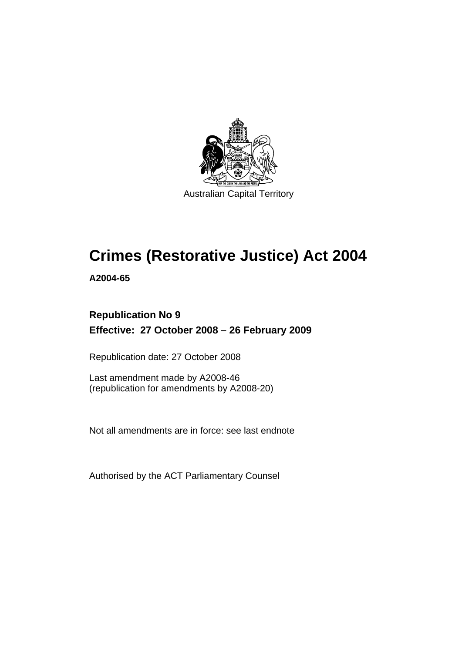

Australian Capital Territory

# **[Crimes \(Restorative Justice\) Act 2004](#page-8-0)**

**A2004-65** 

### **Republication No 9 Effective: 27 October 2008 – 26 February 2009**

Republication date: 27 October 2008

Last amendment made by A2008-46 (republication for amendments by A2008-20)

Not all amendments are in force: see last endnote

Authorised by the ACT Parliamentary Counsel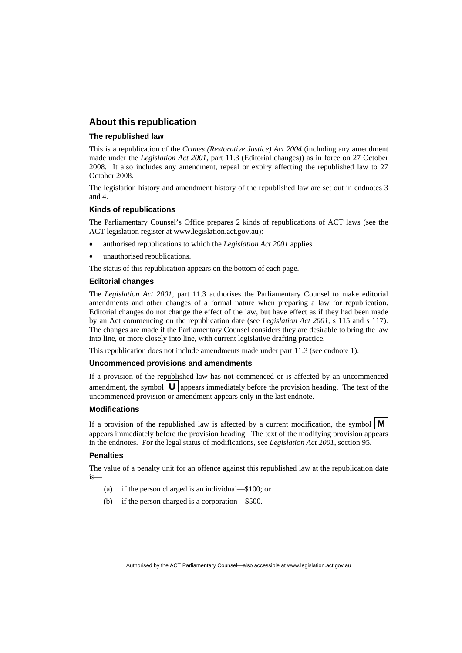#### **About this republication**

#### **The republished law**

This is a republication of the *Crimes (Restorative Justice) Act 2004* (including any amendment made under the *Legislation Act 2001*, part 11.3 (Editorial changes)) as in force on 27 October 2008*.* It also includes any amendment, repeal or expiry affecting the republished law to 27 October 2008.

The legislation history and amendment history of the republished law are set out in endnotes 3 and 4.

#### **Kinds of republications**

The Parliamentary Counsel's Office prepares 2 kinds of republications of ACT laws (see the ACT legislation register at www.legislation.act.gov.au):

- authorised republications to which the *Legislation Act 2001* applies
- unauthorised republications.

The status of this republication appears on the bottom of each page.

#### **Editorial changes**

The *Legislation Act 2001*, part 11.3 authorises the Parliamentary Counsel to make editorial amendments and other changes of a formal nature when preparing a law for republication. Editorial changes do not change the effect of the law, but have effect as if they had been made by an Act commencing on the republication date (see *Legislation Act 2001*, s 115 and s 117). The changes are made if the Parliamentary Counsel considers they are desirable to bring the law into line, or more closely into line, with current legislative drafting practice.

This republication does not include amendments made under part 11.3 (see endnote 1).

#### **Uncommenced provisions and amendments**

If a provision of the republished law has not commenced or is affected by an uncommenced amendment, the symbol  $\mathbf{U}$  appears immediately before the provision heading. The text of the uncommenced provision  $\overline{or}$  amendment appears only in the last endnote.

#### **Modifications**

If a provision of the republished law is affected by a current modification, the symbol  $\mathbf{M}$ appears immediately before the provision heading. The text of the modifying provision appears in the endnotes. For the legal status of modifications, see *Legislation Act 2001*, section 95.

#### **Penalties**

The value of a penalty unit for an offence against this republished law at the republication date is—

- (a) if the person charged is an individual—\$100; or
- (b) if the person charged is a corporation—\$500.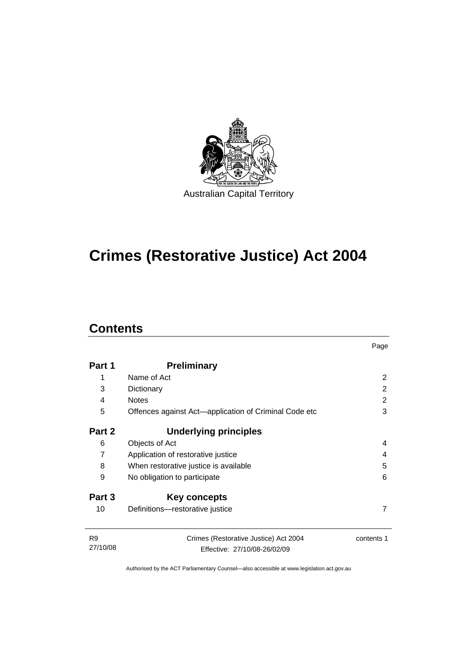

# **[Crimes \(Restorative Justice\) Act 2004](#page-8-0)**

### **Contents**

|                            |                                                                       | Page       |  |
|----------------------------|-----------------------------------------------------------------------|------------|--|
| Part 1                     | <b>Preliminary</b>                                                    |            |  |
| 1                          | Name of Act                                                           | 2          |  |
| 3                          | Dictionary                                                            | 2          |  |
| 4                          | <b>Notes</b>                                                          | 2          |  |
| 5                          | Offences against Act—application of Criminal Code etc                 |            |  |
| Part 2                     | Underlying principles                                                 |            |  |
| 6                          | Objects of Act                                                        | 4          |  |
| $\overline{7}$             | Application of restorative justice<br>4                               |            |  |
| 8                          | 5<br>When restorative justice is available                            |            |  |
| 9                          | 6<br>No obligation to participate                                     |            |  |
| Part 3                     | Key concepts                                                          |            |  |
| 10                         | Definitions-restorative justice                                       | 7          |  |
| R <sub>9</sub><br>27/10/08 | Crimes (Restorative Justice) Act 2004<br>Effective: 27/10/08-26/02/09 | contents 1 |  |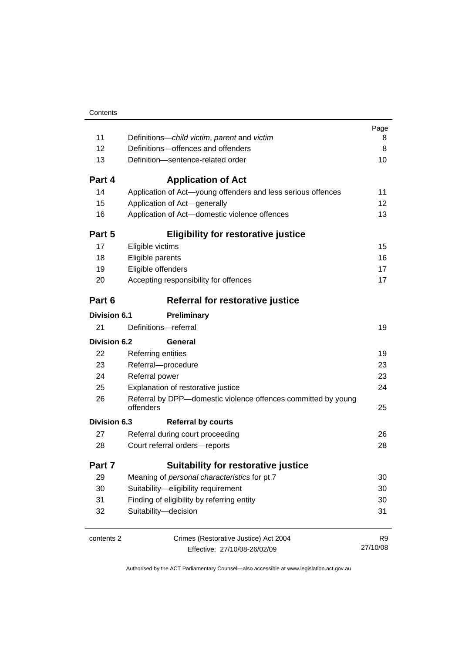|                     |                                                                            | Page<br>8 |  |  |
|---------------------|----------------------------------------------------------------------------|-----------|--|--|
| 11                  | Definitions-child victim, parent and victim                                |           |  |  |
| 12                  | Definitions-offences and offenders                                         |           |  |  |
| 13                  | Definition-sentence-related order                                          |           |  |  |
| Part 4              | <b>Application of Act</b>                                                  |           |  |  |
| 14                  | Application of Act-young offenders and less serious offences               | 11        |  |  |
| 15                  | Application of Act-generally                                               | 12        |  |  |
| 16                  | Application of Act-domestic violence offences                              | 13        |  |  |
| Part 5              | <b>Eligibility for restorative justice</b>                                 |           |  |  |
| 17                  | Eligible victims                                                           | 15        |  |  |
| 18                  | Eligible parents                                                           | 16        |  |  |
| 19                  | Eligible offenders                                                         | 17        |  |  |
| 20                  | Accepting responsibility for offences                                      | 17        |  |  |
| Part 6              | Referral for restorative justice                                           |           |  |  |
| <b>Division 6.1</b> | Preliminary                                                                |           |  |  |
| 21                  | Definitions-referral                                                       | 19        |  |  |
| Division 6.2        | General                                                                    |           |  |  |
| 22                  | <b>Referring entities</b>                                                  | 19        |  |  |
| 23                  | Referral-procedure                                                         |           |  |  |
| 24                  | Referral power                                                             |           |  |  |
| 25                  | Explanation of restorative justice                                         | 24        |  |  |
| 26                  | Referral by DPP-domestic violence offences committed by young<br>offenders |           |  |  |
| Division 6.3        | <b>Referral by courts</b>                                                  |           |  |  |
| 27                  | Referral during court proceeding                                           | 26        |  |  |
| 28                  | Court referral orders-reports                                              |           |  |  |
| Part 7              | <b>Suitability for restorative justice</b>                                 |           |  |  |
| 29                  | Meaning of personal characteristics for pt 7                               |           |  |  |
| 30                  | Suitability-eligibility requirement                                        |           |  |  |
| 31                  | Finding of eligibility by referring entity                                 |           |  |  |
| 32                  | Suitability-decision                                                       | 31        |  |  |
| contents 2          | Crimes (Restorative Justice) Act 2004                                      | R9        |  |  |
|                     | Effective: 27/10/08-26/02/09                                               | 27/10/08  |  |  |
|                     |                                                                            |           |  |  |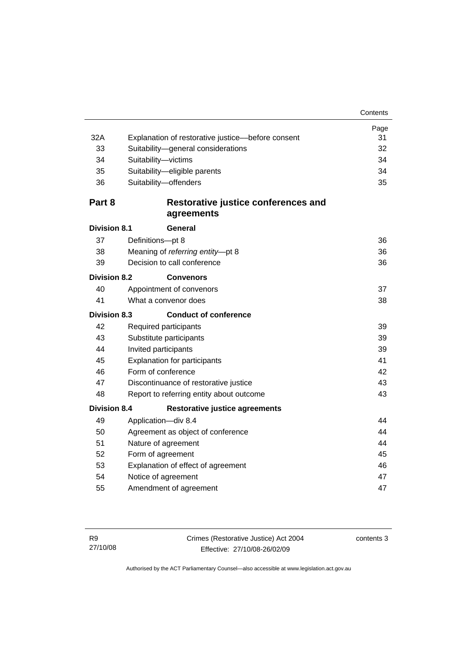|                     |                                                   | Page |  |
|---------------------|---------------------------------------------------|------|--|
| 32A                 | Explanation of restorative justice-before consent | 31   |  |
| 33                  | Suitability-general considerations                |      |  |
| 34                  | Suitability-victims                               |      |  |
| 35                  | Suitability-eligible parents                      | 34   |  |
| 36                  | Suitability-offenders                             | 35   |  |
| Part 8              | Restorative justice conferences and               |      |  |
|                     | agreements                                        |      |  |
| <b>Division 8.1</b> | General                                           |      |  |
| 37                  | Definitions-pt 8                                  | 36   |  |
| 38                  | Meaning of referring entity-pt 8                  | 36   |  |
| 39                  | Decision to call conference                       | 36   |  |
| <b>Division 8.2</b> | <b>Convenors</b>                                  |      |  |
| 40                  | Appointment of convenors                          | 37   |  |
| 41                  | What a convenor does                              | 38   |  |
| <b>Division 8.3</b> | <b>Conduct of conference</b>                      |      |  |
| 42                  | Required participants                             | 39   |  |
| 43                  | Substitute participants                           | 39   |  |
| 44                  | Invited participants<br>39                        |      |  |
| 45                  | <b>Explanation for participants</b>               |      |  |
| 46                  | Form of conference                                |      |  |
| 47                  | Discontinuance of restorative justice             |      |  |
| 48                  | 43<br>Report to referring entity about outcome    |      |  |
| <b>Division 8.4</b> | <b>Restorative justice agreements</b>             |      |  |
| 49                  | Application-div 8.4                               | 44   |  |
| 50                  | 44<br>Agreement as object of conference           |      |  |
| 51                  | Nature of agreement                               |      |  |
| 52                  | Form of agreement                                 |      |  |
| 53                  | Explanation of effect of agreement<br>46          |      |  |
| 54                  | Notice of agreement<br>47                         |      |  |
| 55                  | Amendment of agreement                            | 47   |  |
|                     |                                                   |      |  |

contents 3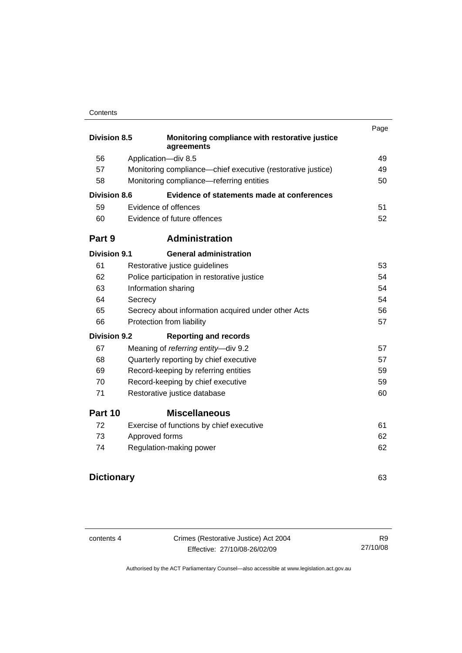#### **Contents**

|                     |                                                              | Page |  |
|---------------------|--------------------------------------------------------------|------|--|
| <b>Division 8.5</b> | Monitoring compliance with restorative justice<br>agreements |      |  |
| 56                  | Application-div 8.5                                          | 49   |  |
| 57                  | Monitoring compliance—chief executive (restorative justice)  | 49   |  |
| 58                  | Monitoring compliance—referring entities                     | 50   |  |
| <b>Division 8.6</b> | Evidence of statements made at conferences                   |      |  |
| 59                  | Evidence of offences                                         | 51   |  |
| 60                  | Evidence of future offences                                  | 52   |  |
| Part 9              | <b>Administration</b>                                        |      |  |
| <b>Division 9.1</b> | <b>General administration</b>                                |      |  |
| 61                  | Restorative justice guidelines                               | 53   |  |
| 62                  | Police participation in restorative justice                  | 54   |  |
| 63                  | Information sharing                                          | 54   |  |
| 64                  | Secrecy                                                      | 54   |  |
| 65                  | Secrecy about information acquired under other Acts<br>56    |      |  |
| 66                  | Protection from liability<br>57                              |      |  |
| <b>Division 9.2</b> | <b>Reporting and records</b>                                 |      |  |
| 67                  | Meaning of referring entity-div 9.2                          | 57   |  |
| 68                  | Quarterly reporting by chief executive                       | 57   |  |
| 69                  | Record-keeping by referring entities                         | 59   |  |
| 70                  | Record-keeping by chief executive                            | 59   |  |
| 71                  | Restorative justice database                                 | 60   |  |
| Part 10             | <b>Miscellaneous</b>                                         |      |  |
| 72                  | Exercise of functions by chief executive                     | 61   |  |
| 73                  | Approved forms                                               | 62   |  |
| 74                  | Regulation-making power                                      | 62   |  |
|                     |                                                              |      |  |

### **Dictionary** [63](#page-70-0)

contents 4 Crimes (Restorative Justice) Act 2004 Effective: 27/10/08-26/02/09

R9 27/10/08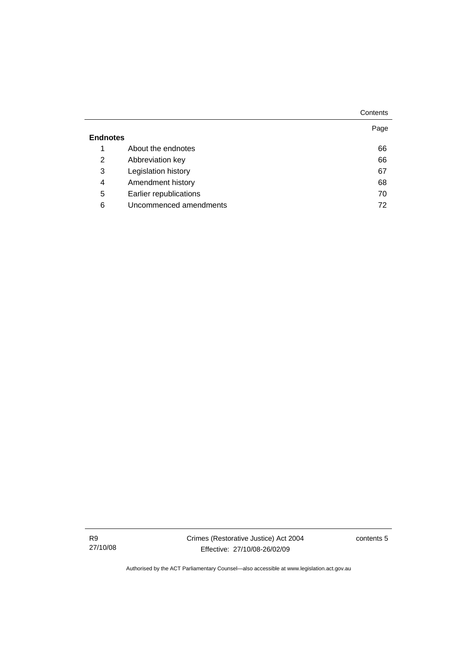|                        | Contents          |
|------------------------|-------------------|
|                        | Page              |
|                        |                   |
| About the endnotes     | 66                |
| Abbreviation key       | 66                |
| Legislation history    | 67                |
|                        | 68                |
| Earlier republications | 70                |
| Uncommenced amendments | 72                |
|                        | Amendment history |

R9 27/10/08 contents 5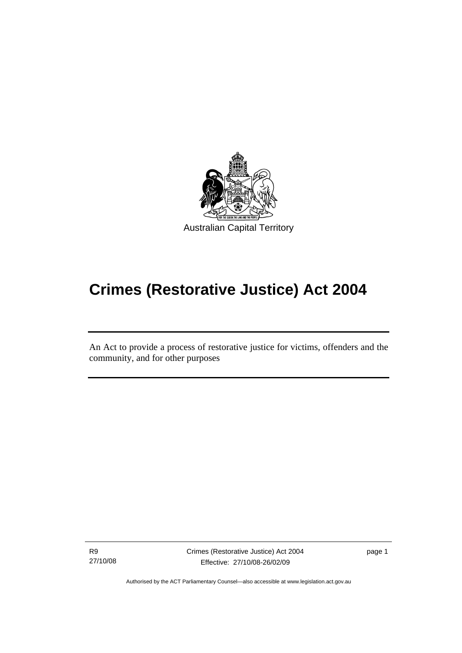<span id="page-8-0"></span>

# **Crimes (Restorative Justice) Act 2004**

An Act to provide a process of restorative justice for victims, offenders and the community, and for other purposes

R9 27/10/08

l

Crimes (Restorative Justice) Act 2004 Effective: 27/10/08-26/02/09

page 1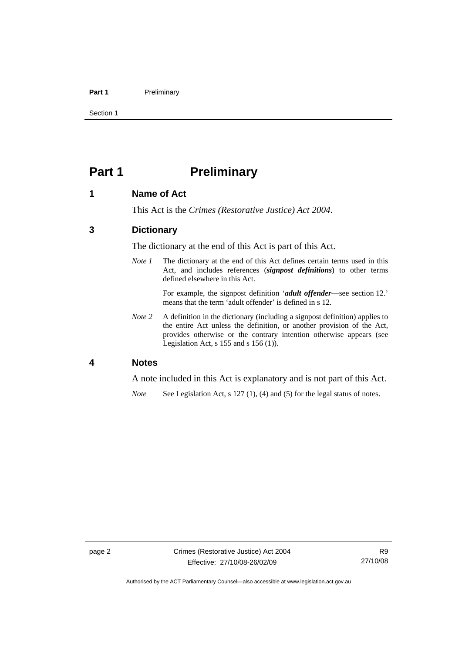#### <span id="page-9-0"></span>Part 1 **Preliminary**

Section 1

### **Part 1** Preliminary

#### **1 Name of Act**

This Act is the *Crimes (Restorative Justice) Act 2004*.

#### **3 Dictionary**

The dictionary at the end of this Act is part of this Act.

*Note 1* The dictionary at the end of this Act defines certain terms used in this Act, and includes references (*signpost definitions*) to other terms defined elsewhere in this Act.

> For example, the signpost definition '*adult offender*—see section 12.' means that the term 'adult offender' is defined in s 12.

*Note 2* A definition in the dictionary (including a signpost definition) applies to the entire Act unless the definition, or another provision of the Act, provides otherwise or the contrary intention otherwise appears (see Legislation Act, s 155 and s 156 (1)).

#### **4 Notes**

A note included in this Act is explanatory and is not part of this Act.

*Note* See Legislation Act, s 127 (1), (4) and (5) for the legal status of notes.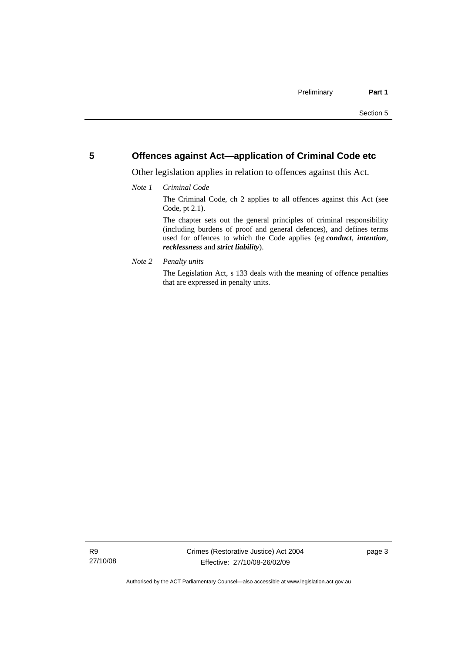#### <span id="page-10-0"></span>**5 Offences against Act—application of Criminal Code etc**

Other legislation applies in relation to offences against this Act.

#### *Note 1 Criminal Code*

The Criminal Code, ch 2 applies to all offences against this Act (see Code, pt 2.1).

The chapter sets out the general principles of criminal responsibility (including burdens of proof and general defences), and defines terms used for offences to which the Code applies (eg *conduct*, *intention*, *recklessness* and *strict liability*).

*Note 2 Penalty units* 

The Legislation Act, s 133 deals with the meaning of offence penalties that are expressed in penalty units.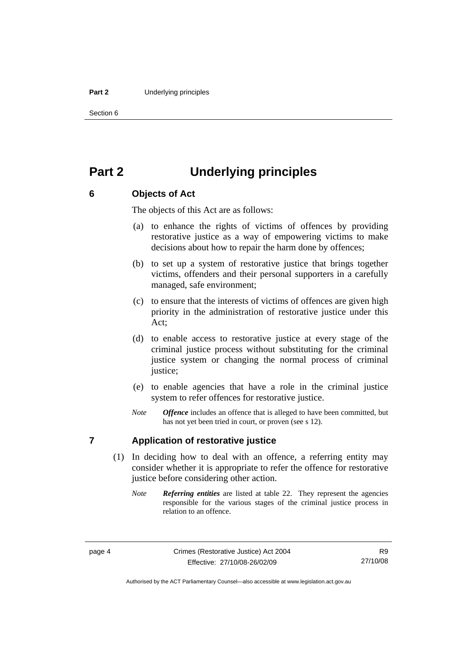#### <span id="page-11-0"></span>**Part 2** Underlying principles

Section 6

### **Part 2 Underlying principles**

#### **6 Objects of Act**

The objects of this Act are as follows:

- (a) to enhance the rights of victims of offences by providing restorative justice as a way of empowering victims to make decisions about how to repair the harm done by offences;
- (b) to set up a system of restorative justice that brings together victims, offenders and their personal supporters in a carefully managed, safe environment;
- (c) to ensure that the interests of victims of offences are given high priority in the administration of restorative justice under this Act;
- (d) to enable access to restorative justice at every stage of the criminal justice process without substituting for the criminal justice system or changing the normal process of criminal justice;
- (e) to enable agencies that have a role in the criminal justice system to refer offences for restorative justice.
- *Note Offence* includes an offence that is alleged to have been committed, but has not yet been tried in court, or proven (see s 12).

#### **7 Application of restorative justice**

- (1) In deciding how to deal with an offence, a referring entity may consider whether it is appropriate to refer the offence for restorative justice before considering other action.
	- *Note Referring entities* are listed at table 22. They represent the agencies responsible for the various stages of the criminal justice process in relation to an offence.

Authorised by the ACT Parliamentary Counsel—also accessible at www.legislation.act.gov.au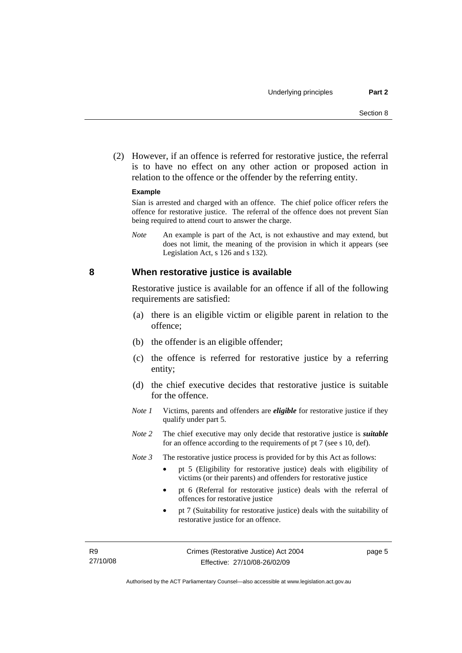<span id="page-12-0"></span> (2) However, if an offence is referred for restorative justice, the referral is to have no effect on any other action or proposed action in relation to the offence or the offender by the referring entity.

#### **Example**

Sían is arrested and charged with an offence. The chief police officer refers the offence for restorative justice. The referral of the offence does not prevent Sían being required to attend court to answer the charge.

*Note* An example is part of the Act, is not exhaustive and may extend, but does not limit, the meaning of the provision in which it appears (see Legislation Act, s 126 and s 132).

#### **8 When restorative justice is available**

Restorative justice is available for an offence if all of the following requirements are satisfied:

- (a) there is an eligible victim or eligible parent in relation to the offence;
- (b) the offender is an eligible offender;
- (c) the offence is referred for restorative justice by a referring entity;
- (d) the chief executive decides that restorative justice is suitable for the offence.
- *Note 1* Victims, parents and offenders are *eligible* for restorative justice if they qualify under part 5.
- *Note 2* The chief executive may only decide that restorative justice is *suitable*  for an offence according to the requirements of pt 7 (see s 10, def).
- *Note 3* The restorative justice process is provided for by this Act as follows:
	- pt 5 (Eligibility for restorative justice) deals with eligibility of victims (or their parents) and offenders for restorative justice
	- pt 6 (Referral for restorative justice) deals with the referral of offences for restorative justice
	- pt 7 (Suitability for restorative justice) deals with the suitability of restorative justice for an offence.

page 5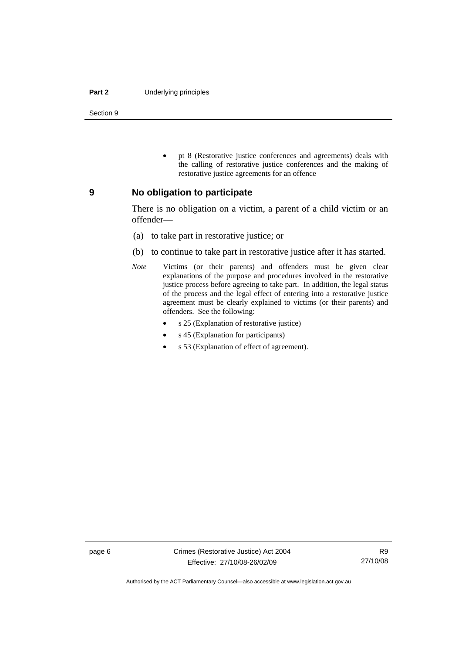#### <span id="page-13-0"></span>**Part 2** Underlying principles

Section 9

• pt 8 (Restorative justice conferences and agreements) deals with the calling of restorative justice conferences and the making of restorative justice agreements for an offence

#### **9 No obligation to participate**

There is no obligation on a victim, a parent of a child victim or an offender—

- (a) to take part in restorative justice; or
- (b) to continue to take part in restorative justice after it has started.
- *Note* Victims (or their parents) and offenders must be given clear explanations of the purpose and procedures involved in the restorative justice process before agreeing to take part. In addition, the legal status of the process and the legal effect of entering into a restorative justice agreement must be clearly explained to victims (or their parents) and offenders. See the following:
	- s 25 (Explanation of restorative justice)
	- s 45 (Explanation for participants)
	- s 53 (Explanation of effect of agreement).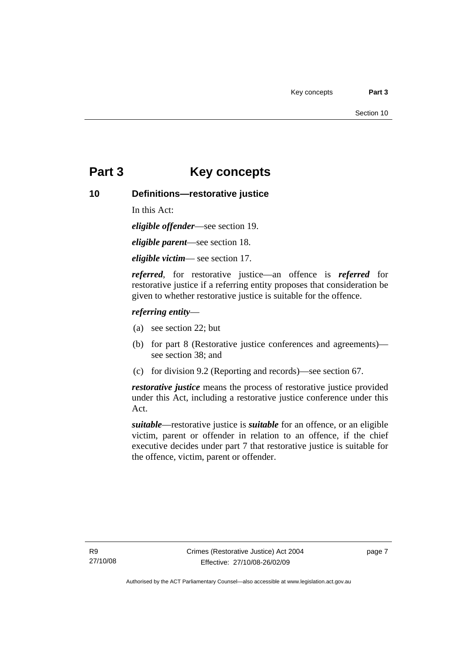### <span id="page-14-0"></span>**Part 3 Key concepts**

#### **10 Definitions—restorative justice**

In this Act:

*eligible offender*—see section 19.

*eligible parent*—see section 18.

*eligible victim*— see section 17.

*referred*, for restorative justice—an offence is *referred* for restorative justice if a referring entity proposes that consideration be given to whether restorative justice is suitable for the offence.

#### *referring entity*—

- (a) see section 22; but
- (b) for part 8 (Restorative justice conferences and agreements) see section 38; and
- (c) for division 9.2 (Reporting and records)—see section 67.

*restorative justice* means the process of restorative justice provided under this Act, including a restorative justice conference under this Act.

*suitable*—restorative justice is *suitable* for an offence, or an eligible victim, parent or offender in relation to an offence, if the chief executive decides under part 7 that restorative justice is suitable for the offence, victim, parent or offender.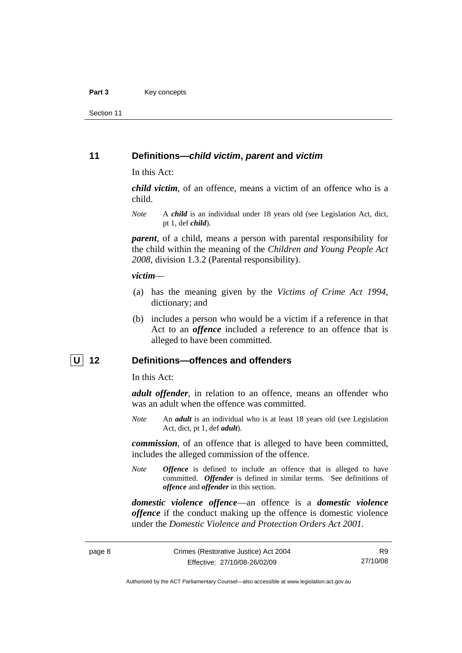<span id="page-15-0"></span>Section 11

#### **11 Definitions—***child victim***,** *parent* **and** *victim*

In this Act:

*child victim*, of an offence, means a victim of an offence who is a child.

*Note* A *child* is an individual under 18 years old (see Legislation Act, dict, pt 1, def *child*).

*parent*, of a child, means a person with parental responsibility for the child within the meaning of the *Children and Young People Act 2008*, division 1.3.2 (Parental responsibility).

#### *victim*—

- (a) has the meaning given by the *Victims of Crime Act 1994*, dictionary; and
- (b) includes a person who would be a victim if a reference in that Act to an *offence* included a reference to an offence that is alleged to have been committed.

#### **U 12 Definitions—offences and offenders**

In this Act:

*adult offender*, in relation to an offence, means an offender who was an adult when the offence was committed.

*Note* An *adult* is an individual who is at least 18 years old (see Legislation Act, dict, pt 1, def *adult*).

*commission*, of an offence that is alleged to have been committed, includes the alleged commission of the offence.

*Note Offence* is defined to include an offence that is alleged to have committed. *Offender* is defined in similar terms. See definitions of *offence* and *offender* in this section.

*domestic violence offence*—an offence is a *domestic violence offence* if the conduct making up the offence is domestic violence under the *Domestic Violence and Protection Orders Act 2001*.

R9 27/10/08

Authorised by the ACT Parliamentary Counsel—also accessible at www.legislation.act.gov.au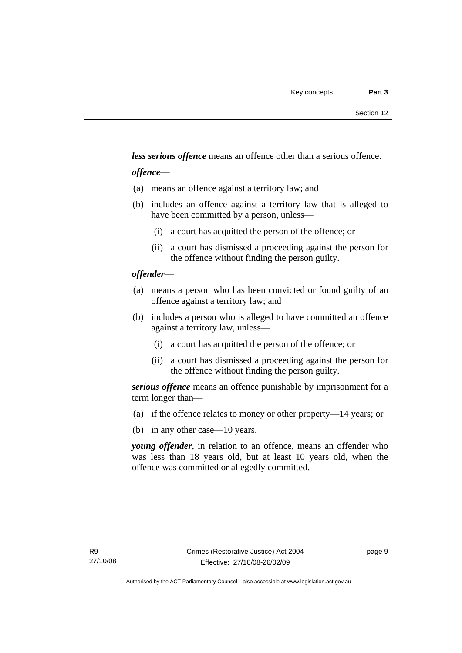*less serious offence* means an offence other than a serious offence.

#### *offence*—

- (a) means an offence against a territory law; and
- (b) includes an offence against a territory law that is alleged to have been committed by a person, unless—
	- (i) a court has acquitted the person of the offence; or
	- (ii) a court has dismissed a proceeding against the person for the offence without finding the person guilty.

#### *offender*—

- (a) means a person who has been convicted or found guilty of an offence against a territory law; and
- (b) includes a person who is alleged to have committed an offence against a territory law, unless—
	- (i) a court has acquitted the person of the offence; or
	- (ii) a court has dismissed a proceeding against the person for the offence without finding the person guilty.

*serious offence* means an offence punishable by imprisonment for a term longer than—

- (a) if the offence relates to money or other property—14 years; or
- (b) in any other case—10 years.

*young offender*, in relation to an offence, means an offender who was less than 18 years old, but at least 10 years old, when the offence was committed or allegedly committed.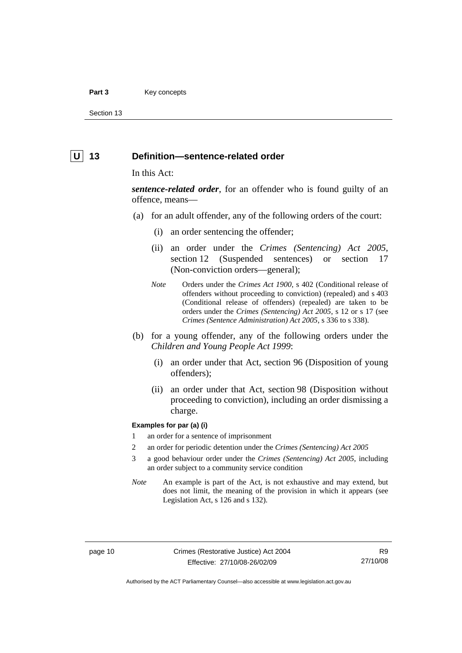#### <span id="page-17-0"></span>Part 3 **Key concepts**

Section 13

#### **U** 13 Definition—sentence-related order

#### In this Act:

*sentence-related order*, for an offender who is found guilty of an offence, means—

- (a) for an adult offender, any of the following orders of the court:
	- (i) an order sentencing the offender;
	- (ii) an order under the *Crimes (Sentencing) Act 2005*, section 12 (Suspended sentences) or section 17 (Non-conviction orders—general);
	- *Note* Orders under the *Crimes Act 1900*, s 402 (Conditional release of offenders without proceeding to conviction) (repealed) and s 403 (Conditional release of offenders) (repealed) are taken to be orders under the *Crimes (Sentencing) Act 2005*, s 12 or s 17 (see *Crimes (Sentence Administration) Act 2005*, s 336 to s 338).
- (b) for a young offender, any of the following orders under the *Children and Young People Act 1999*:
	- (i) an order under that Act, section 96 (Disposition of young offenders);
	- (ii) an order under that Act, section 98 (Disposition without proceeding to conviction), including an order dismissing a charge.

#### **Examples for par (a) (i)**

- 1 an order for a sentence of imprisonment
- 2 an order for periodic detention under the *Crimes (Sentencing) Act 2005*
- 3 a good behaviour order under the *Crimes (Sentencing) Act 2005*, including an order subject to a community service condition
- *Note* An example is part of the Act, is not exhaustive and may extend, but does not limit, the meaning of the provision in which it appears (see Legislation Act, s 126 and s 132).

R9 27/10/08

Authorised by the ACT Parliamentary Counsel—also accessible at www.legislation.act.gov.au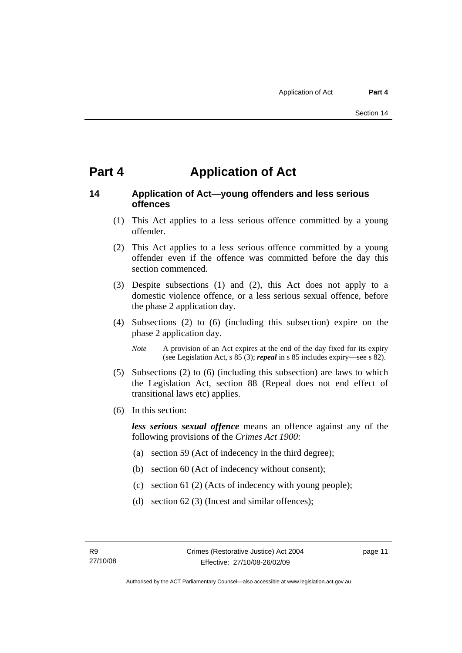### <span id="page-18-0"></span>**Part 4 Application of Act**

#### **14 Application of Act—young offenders and less serious offences**

- (1) This Act applies to a less serious offence committed by a young offender.
- (2) This Act applies to a less serious offence committed by a young offender even if the offence was committed before the day this section commenced.
- (3) Despite subsections (1) and (2), this Act does not apply to a domestic violence offence, or a less serious sexual offence, before the phase 2 application day.
- (4) Subsections (2) to (6) (including this subsection) expire on the phase 2 application day.
	- *Note* A provision of an Act expires at the end of the day fixed for its expiry (see Legislation Act, s 85 (3); *repeal* in s 85 includes expiry—see s 82).
- (5) Subsections (2) to (6) (including this subsection) are laws to which the Legislation Act, section 88 (Repeal does not end effect of transitional laws etc) applies.
- (6) In this section:

*less serious sexual offence* means an offence against any of the following provisions of the *Crimes Act 1900*:

- (a) section 59 (Act of indecency in the third degree);
- (b) section 60 (Act of indecency without consent);
- (c) section 61 (2) (Acts of indecency with young people);
- (d) section 62 (3) (Incest and similar offences);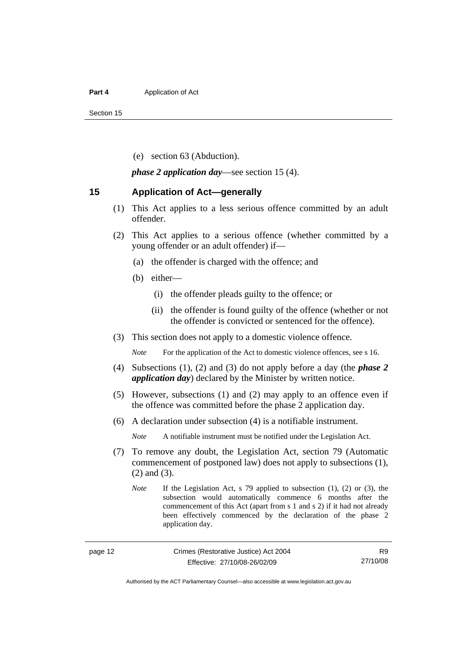#### <span id="page-19-0"></span>**Part 4 Application of Act**

Section 15

(e) section 63 (Abduction).

*phase 2 application day*—see section 15 (4).

#### **15 Application of Act—generally**

- (1) This Act applies to a less serious offence committed by an adult offender.
- (2) This Act applies to a serious offence (whether committed by a young offender or an adult offender) if—
	- (a) the offender is charged with the offence; and
	- (b) either—
		- (i) the offender pleads guilty to the offence; or
		- (ii) the offender is found guilty of the offence (whether or not the offender is convicted or sentenced for the offence).
- (3) This section does not apply to a domestic violence offence.

*Note* For the application of the Act to domestic violence offences, see s 16.

- (4) Subsections (1), (2) and (3) do not apply before a day (the *phase 2 application day*) declared by the Minister by written notice.
- (5) However, subsections (1) and (2) may apply to an offence even if the offence was committed before the phase 2 application day.
- (6) A declaration under subsection (4) is a notifiable instrument.

*Note* A notifiable instrument must be notified under the Legislation Act.

- (7) To remove any doubt, the Legislation Act, section 79 (Automatic commencement of postponed law) does not apply to subsections (1), (2) and (3).
	- *Note* If the Legislation Act, s 79 applied to subsection (1), (2) or (3), the subsection would automatically commence 6 months after the commencement of this Act (apart from s 1 and s 2) if it had not already been effectively commenced by the declaration of the phase 2 application day.

Authorised by the ACT Parliamentary Counsel—also accessible at www.legislation.act.gov.au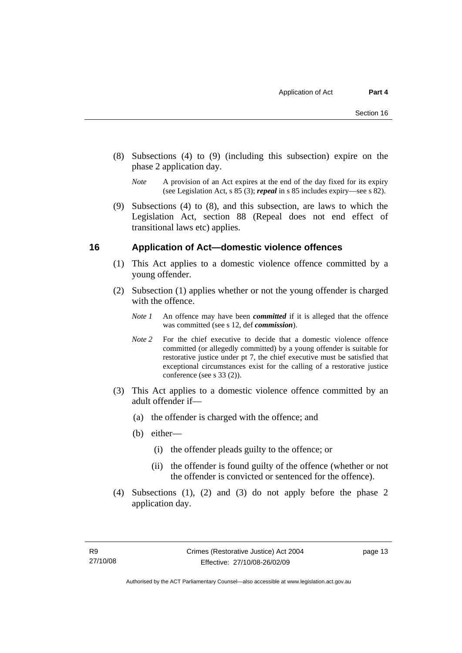- <span id="page-20-0"></span> (8) Subsections (4) to (9) (including this subsection) expire on the phase 2 application day.
	- *Note* A provision of an Act expires at the end of the day fixed for its expiry (see Legislation Act, s 85 (3); *repeal* in s 85 includes expiry—see s 82).
- (9) Subsections (4) to (8), and this subsection, are laws to which the Legislation Act, section 88 (Repeal does not end effect of transitional laws etc) applies.

#### **16 Application of Act—domestic violence offences**

- (1) This Act applies to a domestic violence offence committed by a young offender.
- (2) Subsection (1) applies whether or not the young offender is charged with the offence.
	- *Note 1* An offence may have been *committed* if it is alleged that the offence was committed (see s 12, def *commission*).
	- *Note* 2 For the chief executive to decide that a domestic violence offence committed (or allegedly committed) by a young offender is suitable for restorative justice under pt 7, the chief executive must be satisfied that exceptional circumstances exist for the calling of a restorative justice conference (see s 33 (2)).
- (3) This Act applies to a domestic violence offence committed by an adult offender if—
	- (a) the offender is charged with the offence; and
	- (b) either—
		- (i) the offender pleads guilty to the offence; or
		- (ii) the offender is found guilty of the offence (whether or not the offender is convicted or sentenced for the offence).
- (4) Subsections (1), (2) and (3) do not apply before the phase 2 application day.

page 13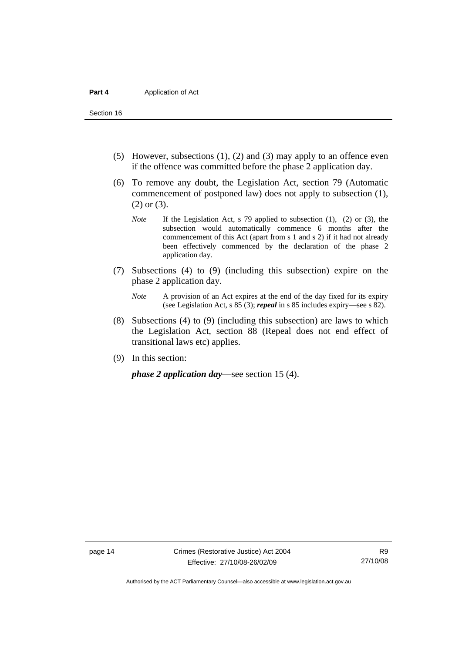Section 16

- (5) However, subsections (1), (2) and (3) may apply to an offence even if the offence was committed before the phase 2 application day.
- (6) To remove any doubt, the Legislation Act, section 79 (Automatic commencement of postponed law) does not apply to subsection (1), (2) or (3).
	- *Note* If the Legislation Act, s 79 applied to subsection (1), (2) or (3), the subsection would automatically commence 6 months after the commencement of this Act (apart from s 1 and s 2) if it had not already been effectively commenced by the declaration of the phase 2 application day.
- (7) Subsections (4) to (9) (including this subsection) expire on the phase 2 application day.
	- *Note* A provision of an Act expires at the end of the day fixed for its expiry (see Legislation Act, s 85 (3); *repeal* in s 85 includes expiry—see s 82).
- (8) Subsections (4) to (9) (including this subsection) are laws to which the Legislation Act, section 88 (Repeal does not end effect of transitional laws etc) applies.
- (9) In this section:

*phase 2 application day*—see section 15 (4).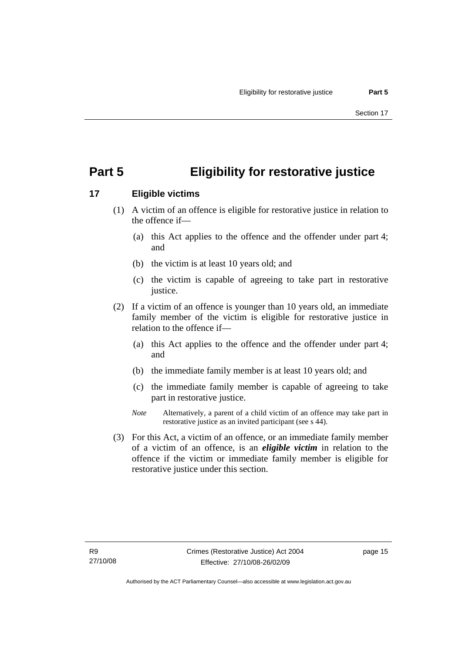## <span id="page-22-0"></span>**Part 5 Eligibility for restorative justice**

### **17 Eligible victims**

- (1) A victim of an offence is eligible for restorative justice in relation to the offence if—
	- (a) this Act applies to the offence and the offender under part 4; and
	- (b) the victim is at least 10 years old; and
	- (c) the victim is capable of agreeing to take part in restorative justice.
- (2) If a victim of an offence is younger than 10 years old, an immediate family member of the victim is eligible for restorative justice in relation to the offence if—
	- (a) this Act applies to the offence and the offender under part 4; and
	- (b) the immediate family member is at least 10 years old; and
	- (c) the immediate family member is capable of agreeing to take part in restorative justice.
	- *Note* Alternatively, a parent of a child victim of an offence may take part in restorative justice as an invited participant (see s 44).
- (3) For this Act, a victim of an offence, or an immediate family member of a victim of an offence, is an *eligible victim* in relation to the offence if the victim or immediate family member is eligible for restorative justice under this section.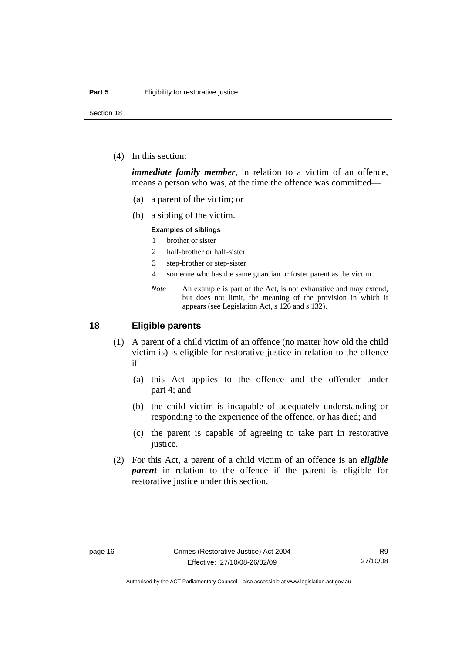<span id="page-23-0"></span>Section 18

(4) In this section:

*immediate family member*, in relation to a victim of an offence, means a person who was, at the time the offence was committed—

- (a) a parent of the victim; or
- (b) a sibling of the victim.

#### **Examples of siblings**

- 1 brother or sister
- 2 half-brother or half-sister
- 3 step-brother or step-sister
- 4 someone who has the same guardian or foster parent as the victim
- *Note* An example is part of the Act, is not exhaustive and may extend, but does not limit, the meaning of the provision in which it appears (see Legislation Act, s 126 and s 132).

#### **18 Eligible parents**

- (1) A parent of a child victim of an offence (no matter how old the child victim is) is eligible for restorative justice in relation to the offence if—
	- (a) this Act applies to the offence and the offender under part 4; and
	- (b) the child victim is incapable of adequately understanding or responding to the experience of the offence, or has died; and
	- (c) the parent is capable of agreeing to take part in restorative justice.
- (2) For this Act, a parent of a child victim of an offence is an *eligible parent* in relation to the offence if the parent is eligible for restorative justice under this section.

Authorised by the ACT Parliamentary Counsel—also accessible at www.legislation.act.gov.au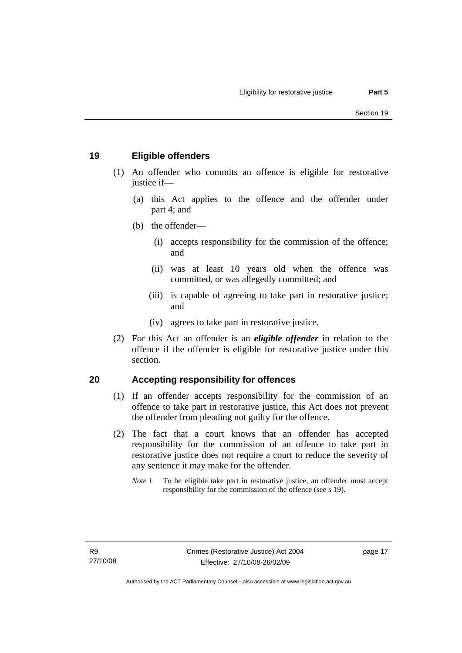#### <span id="page-24-0"></span>**19 Eligible offenders**

- (1) An offender who commits an offence is eligible for restorative justice if-
	- (a) this Act applies to the offence and the offender under part 4; and
	- (b) the offender—
		- (i) accepts responsibility for the commission of the offence; and
		- (ii) was at least 10 years old when the offence was committed, or was allegedly committed; and
		- (iii) is capable of agreeing to take part in restorative justice; and
		- (iv) agrees to take part in restorative justice.
- (2) For this Act an offender is an *eligible offender* in relation to the offence if the offender is eligible for restorative justice under this section.

#### **20 Accepting responsibility for offences**

- (1) If an offender accepts responsibility for the commission of an offence to take part in restorative justice, this Act does not prevent the offender from pleading not guilty for the offence.
- (2) The fact that a court knows that an offender has accepted responsibility for the commission of an offence to take part in restorative justice does not require a court to reduce the severity of any sentence it may make for the offender.
	- *Note 1* To be eligible take part in restorative justice, an offender must accept responsibility for the commission of the offence (see s 19).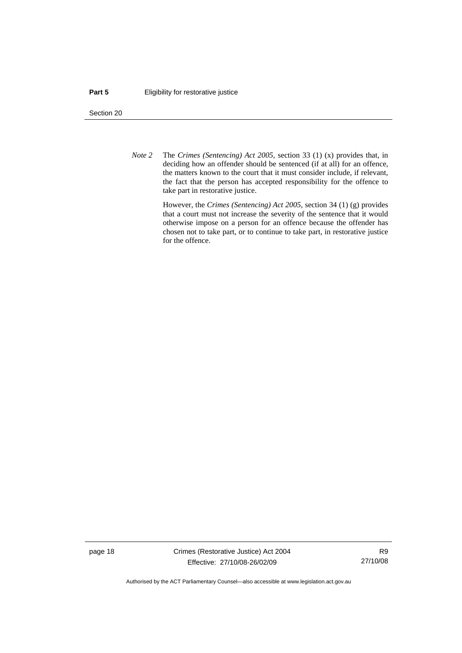#### **Part 5 Eligibility for restorative justice**

Section 20

*Note 2* The *Crimes (Sentencing) Act 2005*, section 33 (1) (x) provides that, in deciding how an offender should be sentenced (if at all) for an offence, the matters known to the court that it must consider include, if relevant, the fact that the person has accepted responsibility for the offence to take part in restorative justice.

> However, the *Crimes (Sentencing) Act 2005*, section 34 (1) (g) provides that a court must not increase the severity of the sentence that it would otherwise impose on a person for an offence because the offender has chosen not to take part, or to continue to take part, in restorative justice for the offence.

page 18 Crimes (Restorative Justice) Act 2004 Effective: 27/10/08-26/02/09

R9 27/10/08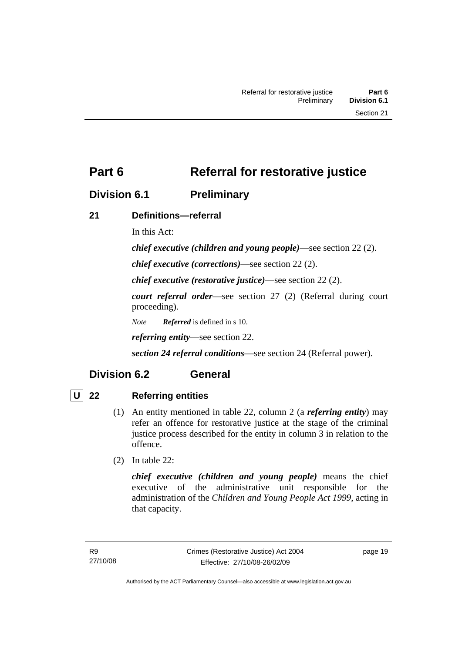### <span id="page-26-0"></span>**Division 6.1 Preliminary**

### **21 Definitions—referral**

In this Act:

*chief executive (children and young people)*—see section 22 (2).

*chief executive (corrections)*—see section 22 (2).

*chief executive (restorative justice)*—see section 22 (2).

*court referral order*—see section 27 (2) (Referral during court proceeding).

*Note Referred* is defined in s 10.

*referring entity*—see section 22.

*section 24 referral conditions*—see section 24 (Referral power).

### **Division 6.2 General**

### **U 22 Referring entities**

- (1) An entity mentioned in table 22, column 2 (a *referring entity*) may refer an offence for restorative justice at the stage of the criminal justice process described for the entity in column 3 in relation to the offence.
- (2) In table 22:

*chief executive (children and young people)* means the chief executive of the administrative unit responsible for the administration of the *Children and Young People Act 1999*, acting in that capacity.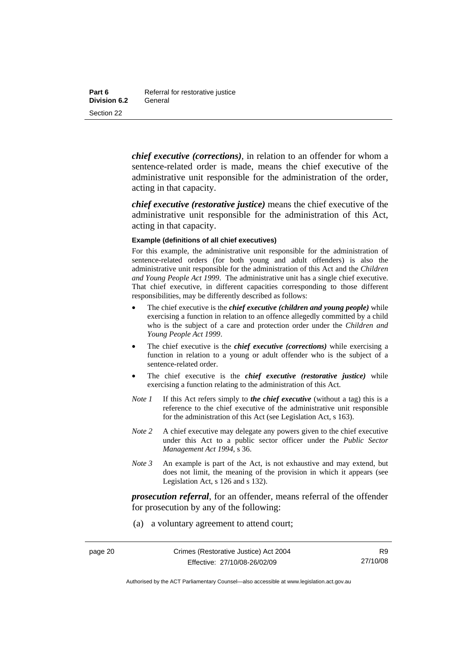*chief executive (corrections)*, in relation to an offender for whom a sentence-related order is made, means the chief executive of the administrative unit responsible for the administration of the order, acting in that capacity.

*chief executive (restorative justice)* means the chief executive of the administrative unit responsible for the administration of this Act, acting in that capacity.

#### **Example (definitions of all chief executives)**

For this example, the administrative unit responsible for the administration of sentence-related orders (for both young and adult offenders) is also the administrative unit responsible for the administration of this Act and the *Children and Young People Act 1999*. The administrative unit has a single chief executive. That chief executive, in different capacities corresponding to those different responsibilities, may be differently described as follows:

- The chief executive is the *chief executive (children and young people)* while exercising a function in relation to an offence allegedly committed by a child who is the subject of a care and protection order under the *Children and Young People Act 1999*.
- The chief executive is the *chief executive (corrections)* while exercising a function in relation to a young or adult offender who is the subject of a sentence-related order.
- The chief executive is the *chief executive (restorative justice)* while exercising a function relating to the administration of this Act.
- *Note 1* If this Act refers simply to *the chief executive* (without a tag) this is a reference to the chief executive of the administrative unit responsible for the administration of this Act (see Legislation Act, s 163).
- *Note* 2 A chief executive may delegate any powers given to the chief executive under this Act to a public sector officer under the *Public Sector Management Act 1994*, s 36.
- *Note 3* An example is part of the Act, is not exhaustive and may extend, but does not limit, the meaning of the provision in which it appears (see Legislation Act, s 126 and s 132).

*prosecution referral*, for an offender, means referral of the offender for prosecution by any of the following:

(a) a voluntary agreement to attend court;

R9 27/10/08

Authorised by the ACT Parliamentary Counsel—also accessible at www.legislation.act.gov.au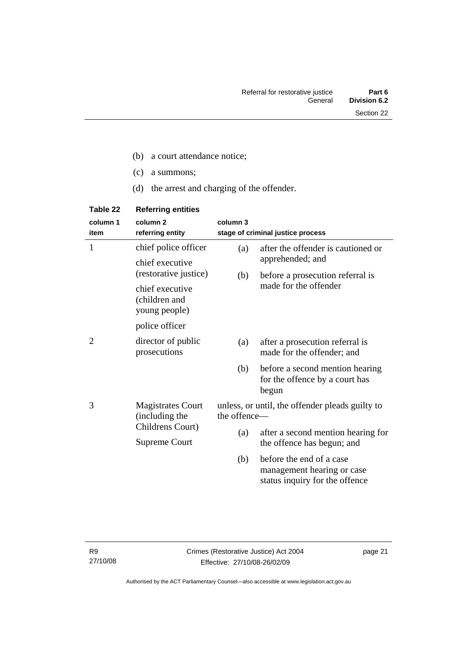- (c) a summons;
- (d) the arrest and charging of the offender.

| Table 22         | <b>Referring entities</b>                         |              |                                                                                          |
|------------------|---------------------------------------------------|--------------|------------------------------------------------------------------------------------------|
| column 1<br>item | column <sub>2</sub><br>referring entity           | column 3     | stage of criminal justice process                                                        |
| 1                | chief police officer                              | (a)          | after the offender is cautioned or                                                       |
|                  | chief executive<br>(restorative justice)          |              | apprehended; and                                                                         |
|                  |                                                   | (b)          | before a prosecution referral is                                                         |
|                  | chief executive<br>(children and<br>young people) |              | made for the offender                                                                    |
|                  | police officer                                    |              |                                                                                          |
| 2                | director of public<br>prosecutions                | (a)          | after a prosecution referral is<br>made for the offender; and                            |
|                  |                                                   | (b)          | before a second mention hearing<br>for the offence by a court has<br>begun               |
| 3                | <b>Magistrates Court</b><br>(including the        | the offence- | unless, or until, the offender pleads guilty to                                          |
|                  | Childrens Court)<br><b>Supreme Court</b>          | (a)          | after a second mention hearing for                                                       |
|                  |                                                   |              | the offence has begun; and                                                               |
|                  |                                                   | (b)          | before the end of a case<br>management hearing or case<br>status inquiry for the offence |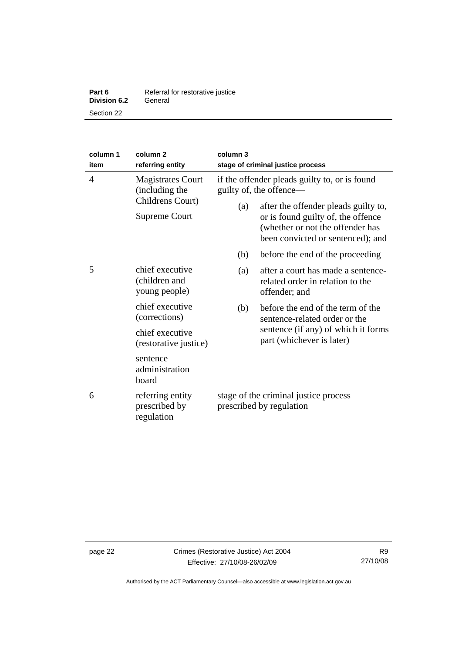| Part 6              | Referral for restorative justice |
|---------------------|----------------------------------|
| <b>Division 6.2</b> | General                          |
| Section 22          |                                  |

| column 1<br>item                  | column <sub>2</sub><br>referring entity           | column 3<br>stage of criminal justice process                                                                                                       |                                                                                         |  |
|-----------------------------------|---------------------------------------------------|-----------------------------------------------------------------------------------------------------------------------------------------------------|-----------------------------------------------------------------------------------------|--|
| $\overline{4}$                    | <b>Magistrates Court</b><br>(including the        |                                                                                                                                                     | if the offender pleads guilty to, or is found<br>guilty of, the offence-                |  |
| Childrens Court)<br>Supreme Court | (a)                                               | after the offender pleads guilty to,<br>or is found guilty of, the offence<br>(whether or not the offender has<br>been convicted or sentenced); and |                                                                                         |  |
|                                   |                                                   | (b)                                                                                                                                                 | before the end of the proceeding                                                        |  |
| 5                                 | chief executive<br>(children and<br>young people) | (a)                                                                                                                                                 | after a court has made a sentence-<br>related order in relation to the<br>offender; and |  |
|                                   | chief executive<br>(corrections)                  | (b)                                                                                                                                                 | before the end of the term of the<br>sentence-related order or the                      |  |
|                                   | chief executive<br>(restorative justice)          |                                                                                                                                                     | sentence (if any) of which it forms<br>part (whichever is later)                        |  |
|                                   | sentence<br>administration<br>board               |                                                                                                                                                     |                                                                                         |  |
| 6                                 | referring entity<br>prescribed by<br>regulation   | stage of the criminal justice process<br>prescribed by regulation                                                                                   |                                                                                         |  |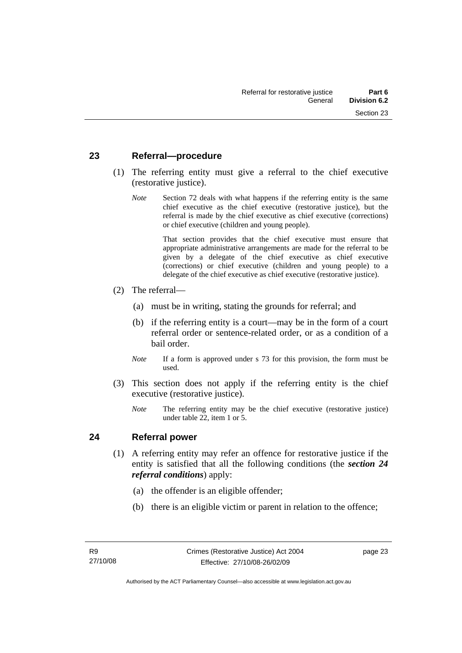#### <span id="page-30-0"></span>**23 Referral—procedure**

- (1) The referring entity must give a referral to the chief executive (restorative justice).
	- *Note* Section 72 deals with what happens if the referring entity is the same chief executive as the chief executive (restorative justice), but the referral is made by the chief executive as chief executive (corrections) or chief executive (children and young people).

 That section provides that the chief executive must ensure that appropriate administrative arrangements are made for the referral to be given by a delegate of the chief executive as chief executive (corrections) or chief executive (children and young people) to a delegate of the chief executive as chief executive (restorative justice).

- (2) The referral—
	- (a) must be in writing, stating the grounds for referral; and
	- (b) if the referring entity is a court—may be in the form of a court referral order or sentence-related order, or as a condition of a bail order.
	- *Note* If a form is approved under s 73 for this provision, the form must be used.
- (3) This section does not apply if the referring entity is the chief executive (restorative justice).
	- *Note* The referring entity may be the chief executive (restorative justice) under table 22, item 1 or 5.

#### **24 Referral power**

- (1) A referring entity may refer an offence for restorative justice if the entity is satisfied that all the following conditions (the *section 24 referral conditions*) apply:
	- (a) the offender is an eligible offender;
	- (b) there is an eligible victim or parent in relation to the offence;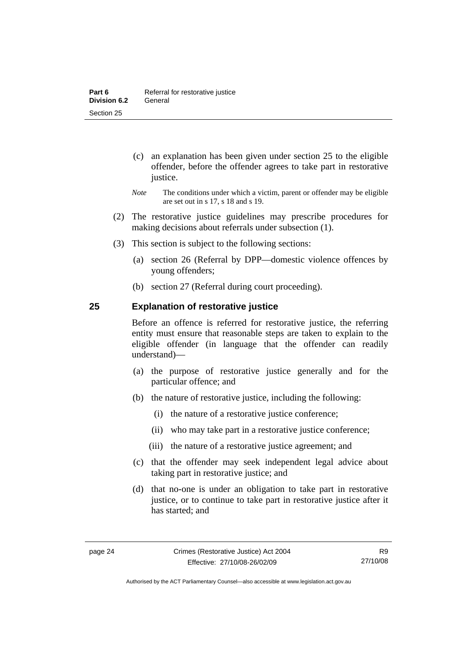- <span id="page-31-0"></span> (c) an explanation has been given under section 25 to the eligible offender, before the offender agrees to take part in restorative justice.
- *Note* The conditions under which a victim, parent or offender may be eligible are set out in s 17, s 18 and s 19.
- (2) The restorative justice guidelines may prescribe procedures for making decisions about referrals under subsection (1).
- (3) This section is subject to the following sections:
	- (a) section 26 (Referral by DPP—domestic violence offences by young offenders;
	- (b) section 27 (Referral during court proceeding).

#### **25 Explanation of restorative justice**

Before an offence is referred for restorative justice, the referring entity must ensure that reasonable steps are taken to explain to the eligible offender (in language that the offender can readily understand)––

- (a) the purpose of restorative justice generally and for the particular offence; and
- (b) the nature of restorative justice, including the following:
	- (i) the nature of a restorative justice conference;
	- (ii) who may take part in a restorative justice conference;
	- (iii) the nature of a restorative justice agreement; and
- (c) that the offender may seek independent legal advice about taking part in restorative justice; and
- (d) that no-one is under an obligation to take part in restorative justice, or to continue to take part in restorative justice after it has started; and

Authorised by the ACT Parliamentary Counsel—also accessible at www.legislation.act.gov.au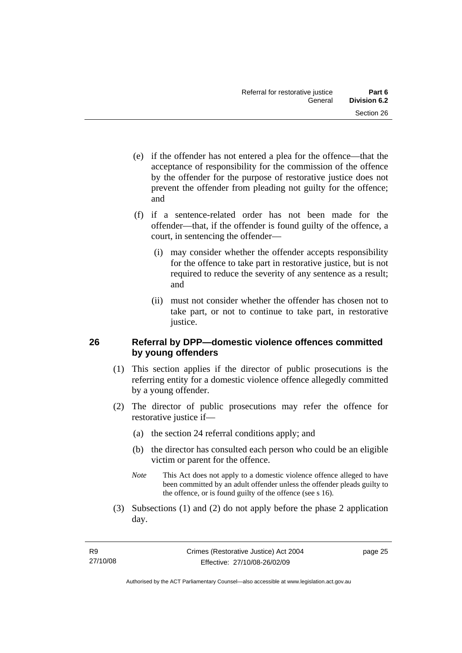- <span id="page-32-0"></span> (e) if the offender has not entered a plea for the offence—that the acceptance of responsibility for the commission of the offence by the offender for the purpose of restorative justice does not prevent the offender from pleading not guilty for the offence; and
- (f) if a sentence-related order has not been made for the offender—that, if the offender is found guilty of the offence, a court, in sentencing the offender—
	- (i) may consider whether the offender accepts responsibility for the offence to take part in restorative justice, but is not required to reduce the severity of any sentence as a result; and
	- (ii) must not consider whether the offender has chosen not to take part, or not to continue to take part, in restorative justice.

#### **26 Referral by DPP—domestic violence offences committed by young offenders**

- (1) This section applies if the director of public prosecutions is the referring entity for a domestic violence offence allegedly committed by a young offender.
- (2) The director of public prosecutions may refer the offence for restorative justice if—
	- (a) the section 24 referral conditions apply; and
	- (b) the director has consulted each person who could be an eligible victim or parent for the offence.
	- *Note* This Act does not apply to a domestic violence offence alleged to have been committed by an adult offender unless the offender pleads guilty to the offence, or is found guilty of the offence (see s 16).
- (3) Subsections (1) and (2) do not apply before the phase 2 application day.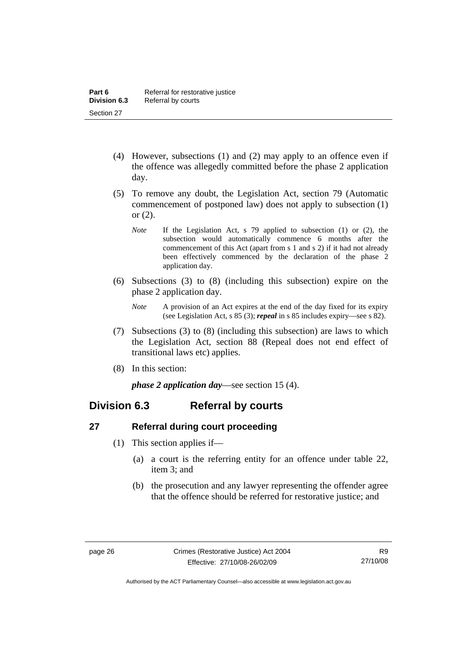- <span id="page-33-0"></span> (4) However, subsections (1) and (2) may apply to an offence even if the offence was allegedly committed before the phase 2 application day.
- (5) To remove any doubt, the Legislation Act, section 79 (Automatic commencement of postponed law) does not apply to subsection (1) or (2).
	- *Note* If the Legislation Act, s 79 applied to subsection (1) or (2), the subsection would automatically commence 6 months after the commencement of this Act (apart from s 1 and s 2) if it had not already been effectively commenced by the declaration of the phase 2 application day.
- (6) Subsections (3) to (8) (including this subsection) expire on the phase 2 application day.
	- *Note* A provision of an Act expires at the end of the day fixed for its expiry (see Legislation Act, s 85 (3); *repeal* in s 85 includes expiry—see s 82).
- (7) Subsections (3) to (8) (including this subsection) are laws to which the Legislation Act, section 88 (Repeal does not end effect of transitional laws etc) applies.
- (8) In this section:

*phase 2 application day*—see section 15 (4).

### **Division 6.3 Referral by courts**

#### **27 Referral during court proceeding**

- (1) This section applies if—
	- (a) a court is the referring entity for an offence under table 22, item 3; and
	- (b) the prosecution and any lawyer representing the offender agree that the offence should be referred for restorative justice; and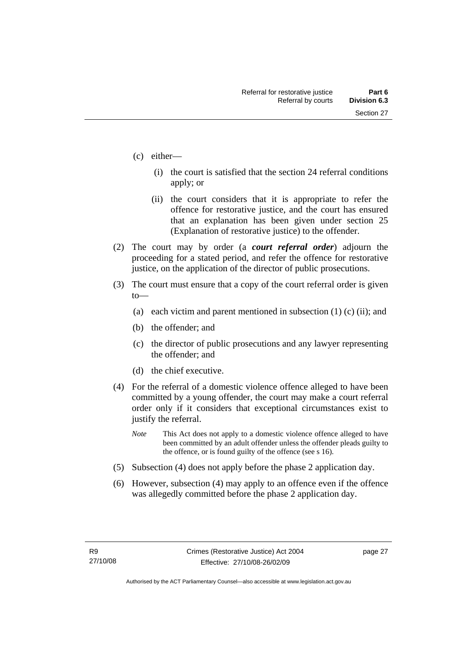- (c) either—
	- (i) the court is satisfied that the section 24 referral conditions apply; or
	- (ii) the court considers that it is appropriate to refer the offence for restorative justice, and the court has ensured that an explanation has been given under section 25 (Explanation of restorative justice) to the offender.
- (2) The court may by order (a *court referral order*) adjourn the proceeding for a stated period, and refer the offence for restorative justice, on the application of the director of public prosecutions.
- (3) The court must ensure that a copy of the court referral order is given to—
	- (a) each victim and parent mentioned in subsection  $(1)$  (c) (ii); and
	- (b) the offender; and
	- (c) the director of public prosecutions and any lawyer representing the offender; and
	- (d) the chief executive.
- (4) For the referral of a domestic violence offence alleged to have been committed by a young offender, the court may make a court referral order only if it considers that exceptional circumstances exist to justify the referral.
	- *Note* This Act does not apply to a domestic violence offence alleged to have been committed by an adult offender unless the offender pleads guilty to the offence, or is found guilty of the offence (see s 16).
- (5) Subsection (4) does not apply before the phase 2 application day.
- (6) However, subsection (4) may apply to an offence even if the offence was allegedly committed before the phase 2 application day.

page 27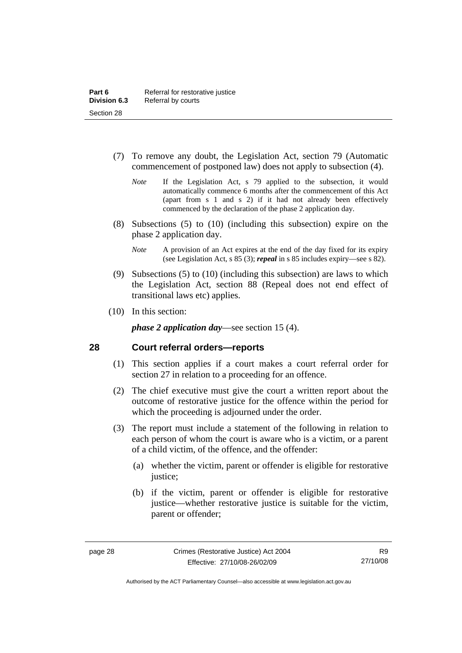- <span id="page-35-0"></span> (7) To remove any doubt, the Legislation Act, section 79 (Automatic commencement of postponed law) does not apply to subsection (4).
	- *Note* If the Legislation Act, s 79 applied to the subsection, it would automatically commence 6 months after the commencement of this Act (apart from s 1 and s 2) if it had not already been effectively commenced by the declaration of the phase 2 application day.
- (8) Subsections (5) to (10) (including this subsection) expire on the phase 2 application day.
	- *Note* A provision of an Act expires at the end of the day fixed for its expiry (see Legislation Act, s 85 (3); *repeal* in s 85 includes expiry—see s 82).
- (9) Subsections (5) to (10) (including this subsection) are laws to which the Legislation Act, section 88 (Repeal does not end effect of transitional laws etc) applies.
- (10) In this section:

*phase 2 application day*—see section 15 (4).

#### **28 Court referral orders—reports**

- (1) This section applies if a court makes a court referral order for section 27 in relation to a proceeding for an offence.
- (2) The chief executive must give the court a written report about the outcome of restorative justice for the offence within the period for which the proceeding is adjourned under the order.
- (3) The report must include a statement of the following in relation to each person of whom the court is aware who is a victim, or a parent of a child victim, of the offence, and the offender:
	- (a) whether the victim, parent or offender is eligible for restorative justice;
	- (b) if the victim, parent or offender is eligible for restorative justice—whether restorative justice is suitable for the victim, parent or offender;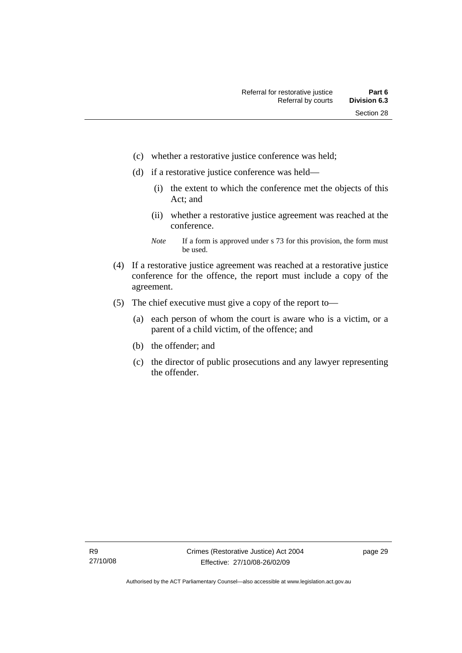- (c) whether a restorative justice conference was held;
- (d) if a restorative justice conference was held—
	- (i) the extent to which the conference met the objects of this Act; and
	- (ii) whether a restorative justice agreement was reached at the conference.
	- *Note* If a form is approved under s 73 for this provision, the form must be used.
- (4) If a restorative justice agreement was reached at a restorative justice conference for the offence, the report must include a copy of the agreement.
- (5) The chief executive must give a copy of the report to—
	- (a) each person of whom the court is aware who is a victim, or a parent of a child victim, of the offence; and
	- (b) the offender; and
	- (c) the director of public prosecutions and any lawyer representing the offender.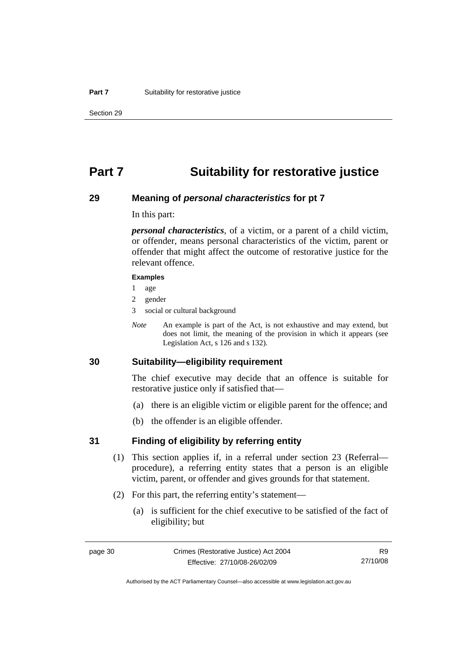## **Part 7 Suitability for restorative justice**

### **29 Meaning of** *personal characteristics* **for pt 7**

In this part:

*personal characteristics*, of a victim, or a parent of a child victim, or offender, means personal characteristics of the victim, parent or offender that might affect the outcome of restorative justice for the relevant offence.

#### **Examples**

- 1 age
- 2 gender
- 3 social or cultural background
- *Note* An example is part of the Act, is not exhaustive and may extend, but does not limit, the meaning of the provision in which it appears (see Legislation Act, s 126 and s 132).

## **30 Suitability—eligibility requirement**

The chief executive may decide that an offence is suitable for restorative justice only if satisfied that—

- (a) there is an eligible victim or eligible parent for the offence; and
- (b) the offender is an eligible offender.

### **31 Finding of eligibility by referring entity**

- (1) This section applies if, in a referral under section 23 (Referral procedure), a referring entity states that a person is an eligible victim, parent, or offender and gives grounds for that statement.
- (2) For this part, the referring entity's statement—
	- (a) is sufficient for the chief executive to be satisfied of the fact of eligibility; but

R9 27/10/08

Authorised by the ACT Parliamentary Counsel—also accessible at www.legislation.act.gov.au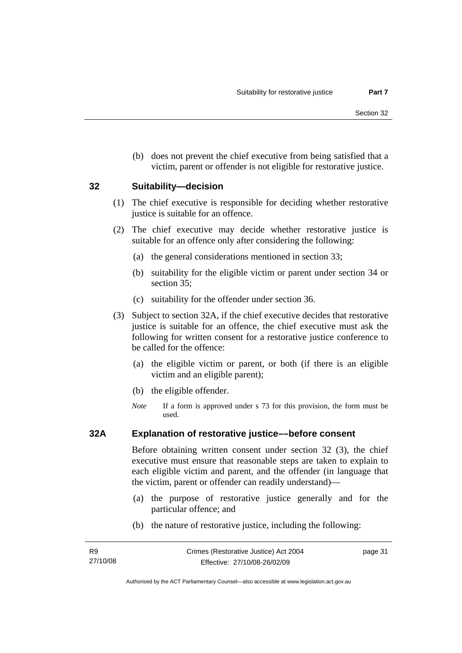(b) does not prevent the chief executive from being satisfied that a victim, parent or offender is not eligible for restorative justice.

### **32 Suitability—decision**

- (1) The chief executive is responsible for deciding whether restorative justice is suitable for an offence.
- (2) The chief executive may decide whether restorative justice is suitable for an offence only after considering the following:
	- (a) the general considerations mentioned in section 33;
	- (b) suitability for the eligible victim or parent under section 34 or section 35;
	- (c) suitability for the offender under section 36.
- (3) Subject to section 32A, if the chief executive decides that restorative justice is suitable for an offence, the chief executive must ask the following for written consent for a restorative justice conference to be called for the offence:
	- (a) the eligible victim or parent, or both (if there is an eligible victim and an eligible parent);
	- (b) the eligible offender.
	- *Note* If a form is approved under s 73 for this provision, the form must be used.

### **32A Explanation of restorative justice––before consent**

Before obtaining written consent under section 32 (3), the chief executive must ensure that reasonable steps are taken to explain to each eligible victim and parent, and the offender (in language that the victim, parent or offender can readily understand)—

- (a) the purpose of restorative justice generally and for the particular offence; and
- (b) the nature of restorative justice, including the following:

page 31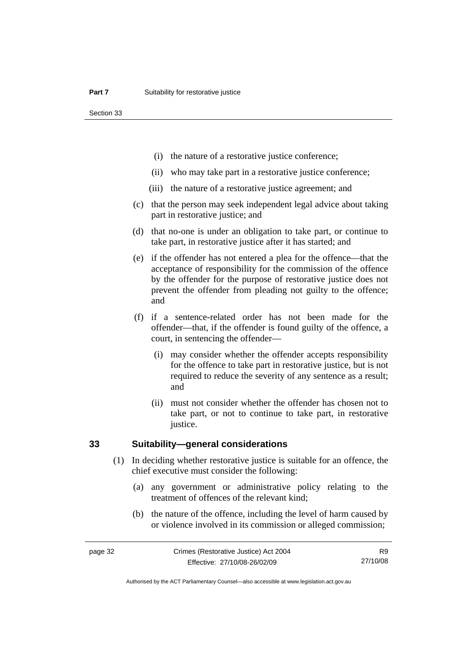Section 33

- (i) the nature of a restorative justice conference;
- (ii) who may take part in a restorative justice conference;
- (iii) the nature of a restorative justice agreement; and
- (c) that the person may seek independent legal advice about taking part in restorative justice; and
- (d) that no-one is under an obligation to take part, or continue to take part, in restorative justice after it has started; and
- (e) if the offender has not entered a plea for the offence—that the acceptance of responsibility for the commission of the offence by the offender for the purpose of restorative justice does not prevent the offender from pleading not guilty to the offence; and
- (f) if a sentence-related order has not been made for the offender—that, if the offender is found guilty of the offence, a court, in sentencing the offender—
	- (i) may consider whether the offender accepts responsibility for the offence to take part in restorative justice, but is not required to reduce the severity of any sentence as a result; and
	- (ii) must not consider whether the offender has chosen not to take part, or not to continue to take part, in restorative justice.

### **33 Suitability—general considerations**

- (1) In deciding whether restorative justice is suitable for an offence, the chief executive must consider the following:
	- (a) any government or administrative policy relating to the treatment of offences of the relevant kind;
	- (b) the nature of the offence, including the level of harm caused by or violence involved in its commission or alleged commission;

R9 27/10/08

Authorised by the ACT Parliamentary Counsel—also accessible at www.legislation.act.gov.au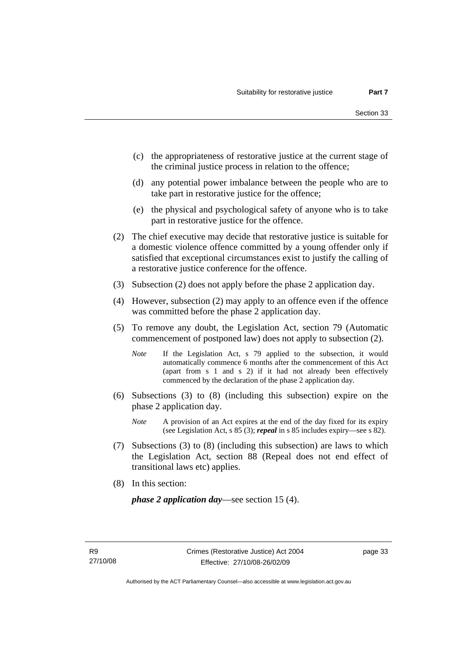- (c) the appropriateness of restorative justice at the current stage of the criminal justice process in relation to the offence;
- (d) any potential power imbalance between the people who are to take part in restorative justice for the offence;
- (e) the physical and psychological safety of anyone who is to take part in restorative justice for the offence.
- (2) The chief executive may decide that restorative justice is suitable for a domestic violence offence committed by a young offender only if satisfied that exceptional circumstances exist to justify the calling of a restorative justice conference for the offence.
- (3) Subsection (2) does not apply before the phase 2 application day.
- (4) However, subsection (2) may apply to an offence even if the offence was committed before the phase 2 application day.
- (5) To remove any doubt, the Legislation Act, section 79 (Automatic commencement of postponed law) does not apply to subsection (2).
	- *Note* If the Legislation Act, s 79 applied to the subsection, it would automatically commence 6 months after the commencement of this Act (apart from s 1 and s 2) if it had not already been effectively commenced by the declaration of the phase 2 application day.
- (6) Subsections (3) to (8) (including this subsection) expire on the phase 2 application day.
	- *Note* A provision of an Act expires at the end of the day fixed for its expiry (see Legislation Act, s 85 (3); *repeal* in s 85 includes expiry—see s 82).
- (7) Subsections (3) to (8) (including this subsection) are laws to which the Legislation Act, section 88 (Repeal does not end effect of transitional laws etc) applies.
- (8) In this section:

*phase 2 application day*—see section 15 (4).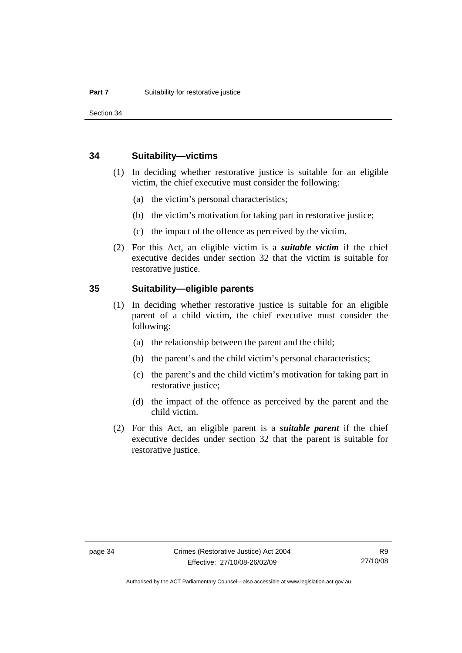Section 34

### **34 Suitability—victims**

- (1) In deciding whether restorative justice is suitable for an eligible victim, the chief executive must consider the following:
	- (a) the victim's personal characteristics;
	- (b) the victim's motivation for taking part in restorative justice;
	- (c) the impact of the offence as perceived by the victim.
- (2) For this Act, an eligible victim is a *suitable victim* if the chief executive decides under section 32 that the victim is suitable for restorative justice.

## **35 Suitability—eligible parents**

- (1) In deciding whether restorative justice is suitable for an eligible parent of a child victim, the chief executive must consider the following:
	- (a) the relationship between the parent and the child;
	- (b) the parent's and the child victim's personal characteristics;
	- (c) the parent's and the child victim's motivation for taking part in restorative justice;
	- (d) the impact of the offence as perceived by the parent and the child victim.
- (2) For this Act, an eligible parent is a *suitable parent* if the chief executive decides under section 32 that the parent is suitable for restorative justice.

Authorised by the ACT Parliamentary Counsel—also accessible at www.legislation.act.gov.au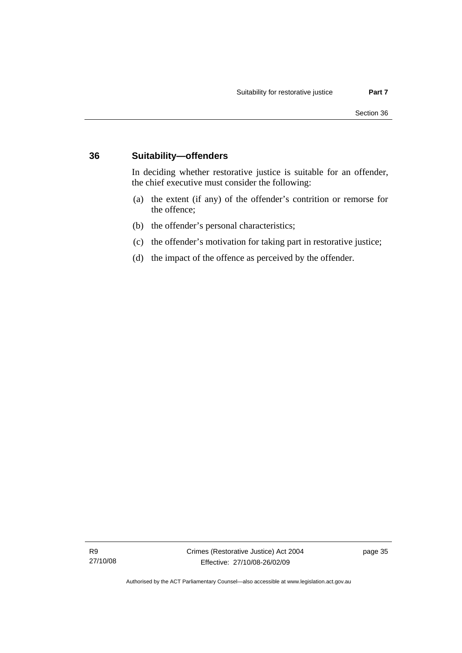## **36 Suitability—offenders**

In deciding whether restorative justice is suitable for an offender, the chief executive must consider the following:

- (a) the extent (if any) of the offender's contrition or remorse for the offence;
- (b) the offender's personal characteristics;
- (c) the offender's motivation for taking part in restorative justice;
- (d) the impact of the offence as perceived by the offender.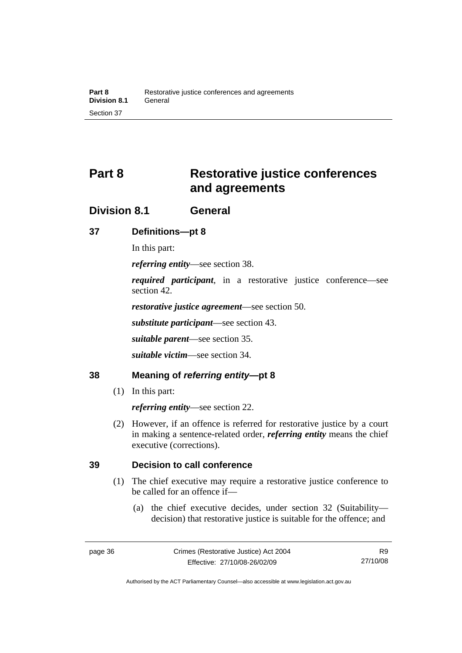# **Part 8 Restorative justice conferences and agreements**

## **Division 8.1 General**

## **37 Definitions—pt 8**

In this part:

*referring entity*—see section 38.

*required participant*, in a restorative justice conference—see section 42.

*restorative justice agreement*—see section 50.

*substitute participant*—see section 43.

*suitable parent*—see section 35.

*suitable victim*—see section 34.

## **38 Meaning of** *referring entity***—pt 8**

(1) In this part:

*referring entity*—see section 22.

 (2) However, if an offence is referred for restorative justice by a court in making a sentence-related order, *referring entity* means the chief executive (corrections).

## **39 Decision to call conference**

- (1) The chief executive may require a restorative justice conference to be called for an offence if—
	- (a) the chief executive decides, under section 32 (Suitability decision) that restorative justice is suitable for the offence; and

Authorised by the ACT Parliamentary Counsel—also accessible at www.legislation.act.gov.au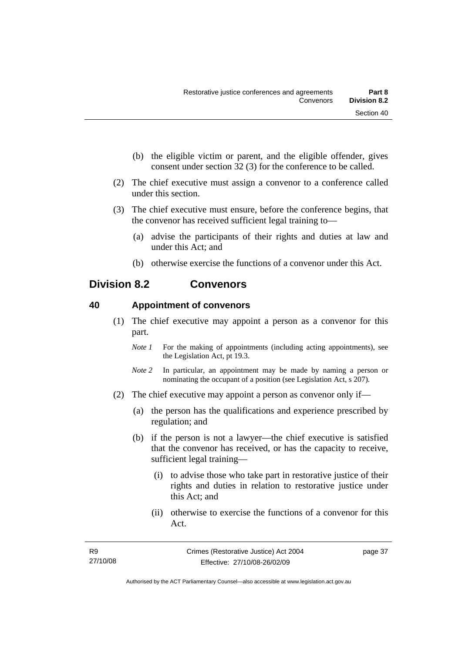- (b) the eligible victim or parent, and the eligible offender, gives consent under section 32 (3) for the conference to be called.
- (2) The chief executive must assign a convenor to a conference called under this section.
- (3) The chief executive must ensure, before the conference begins, that the convenor has received sufficient legal training to—
	- (a) advise the participants of their rights and duties at law and under this Act; and
	- (b) otherwise exercise the functions of a convenor under this Act.

## **Division 8.2 Convenors**

## **40 Appointment of convenors**

- (1) The chief executive may appoint a person as a convenor for this part.
	- *Note 1* For the making of appointments (including acting appointments), see the Legislation Act, pt 19.3.
	- *Note 2* In particular, an appointment may be made by naming a person or nominating the occupant of a position (see Legislation Act, s 207).
- (2) The chief executive may appoint a person as convenor only if—
	- (a) the person has the qualifications and experience prescribed by regulation; and
	- (b) if the person is not a lawyer—the chief executive is satisfied that the convenor has received, or has the capacity to receive, sufficient legal training—
		- (i) to advise those who take part in restorative justice of their rights and duties in relation to restorative justice under this Act; and
		- (ii) otherwise to exercise the functions of a convenor for this Act.

page 37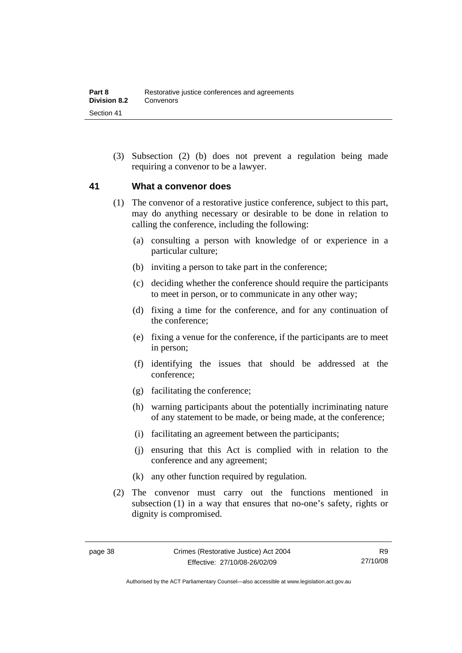(3) Subsection (2) (b) does not prevent a regulation being made requiring a convenor to be a lawyer.

## **41 What a convenor does**

- (1) The convenor of a restorative justice conference, subject to this part, may do anything necessary or desirable to be done in relation to calling the conference, including the following:
	- (a) consulting a person with knowledge of or experience in a particular culture;
	- (b) inviting a person to take part in the conference;
	- (c) deciding whether the conference should require the participants to meet in person, or to communicate in any other way;
	- (d) fixing a time for the conference, and for any continuation of the conference;
	- (e) fixing a venue for the conference, if the participants are to meet in person;
	- (f) identifying the issues that should be addressed at the conference;
	- (g) facilitating the conference;
	- (h) warning participants about the potentially incriminating nature of any statement to be made, or being made, at the conference;
	- (i) facilitating an agreement between the participants;
	- (j) ensuring that this Act is complied with in relation to the conference and any agreement;
	- (k) any other function required by regulation.
- (2) The convenor must carry out the functions mentioned in subsection (1) in a way that ensures that no-one's safety, rights or dignity is compromised.

Authorised by the ACT Parliamentary Counsel—also accessible at www.legislation.act.gov.au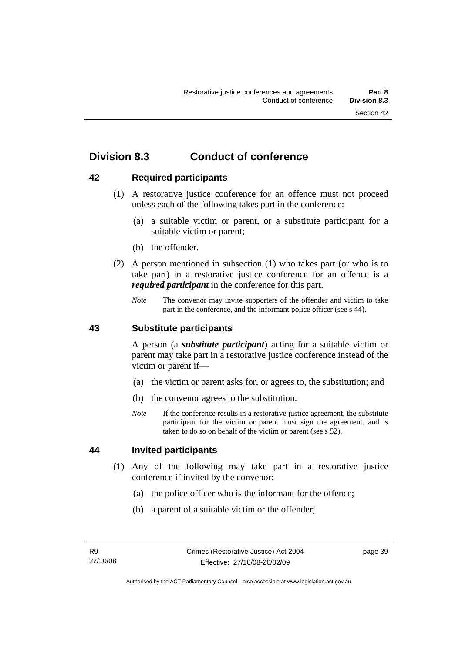## **Division 8.3 Conduct of conference**

## **42 Required participants**

- (1) A restorative justice conference for an offence must not proceed unless each of the following takes part in the conference:
	- (a) a suitable victim or parent, or a substitute participant for a suitable victim or parent;
	- (b) the offender.
- (2) A person mentioned in subsection (1) who takes part (or who is to take part) in a restorative justice conference for an offence is a *required participant* in the conference for this part.
	- *Note* The convenor may invite supporters of the offender and victim to take part in the conference, and the informant police officer (see s 44).

### **43 Substitute participants**

A person (a *substitute participant*) acting for a suitable victim or parent may take part in a restorative justice conference instead of the victim or parent if—

- (a) the victim or parent asks for, or agrees to, the substitution; and
- (b) the convenor agrees to the substitution.
- *Note* If the conference results in a restorative justice agreement, the substitute participant for the victim or parent must sign the agreement, and is taken to do so on behalf of the victim or parent (see s 52).

## **44 Invited participants**

- (1) Any of the following may take part in a restorative justice conference if invited by the convenor:
	- (a) the police officer who is the informant for the offence;
	- (b) a parent of a suitable victim or the offender;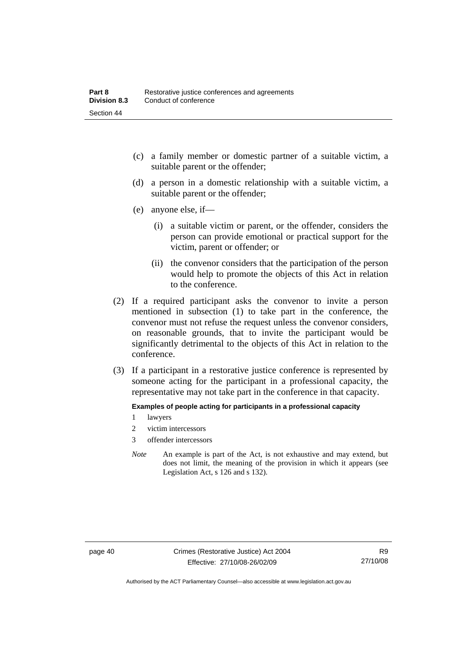- (c) a family member or domestic partner of a suitable victim, a suitable parent or the offender;
- (d) a person in a domestic relationship with a suitable victim, a suitable parent or the offender;
- (e) anyone else, if—
	- (i) a suitable victim or parent, or the offender, considers the person can provide emotional or practical support for the victim, parent or offender; or
	- (ii) the convenor considers that the participation of the person would help to promote the objects of this Act in relation to the conference.
- (2) If a required participant asks the convenor to invite a person mentioned in subsection (1) to take part in the conference, the convenor must not refuse the request unless the convenor considers, on reasonable grounds, that to invite the participant would be significantly detrimental to the objects of this Act in relation to the conference.
- (3) If a participant in a restorative justice conference is represented by someone acting for the participant in a professional capacity, the representative may not take part in the conference in that capacity.

#### **Examples of people acting for participants in a professional capacity**

- 1 lawyers
- 2 victim intercessors
- 3 offender intercessors
- *Note* An example is part of the Act, is not exhaustive and may extend, but does not limit, the meaning of the provision in which it appears (see Legislation Act, s 126 and s 132).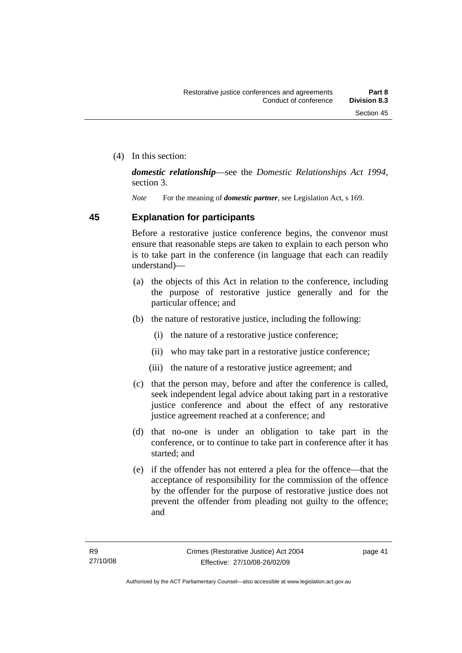(4) In this section:

*domestic relationship*—see the *Domestic Relationships Act 1994*, section 3.

*Note* For the meaning of *domestic partner*, see Legislation Act, s 169.

## **45 Explanation for participants**

Before a restorative justice conference begins, the convenor must ensure that reasonable steps are taken to explain to each person who is to take part in the conference (in language that each can readily understand)—

- (a) the objects of this Act in relation to the conference, including the purpose of restorative justice generally and for the particular offence; and
- (b) the nature of restorative justice, including the following:
	- (i) the nature of a restorative justice conference;
	- (ii) who may take part in a restorative justice conference;
	- (iii) the nature of a restorative justice agreement; and
- (c) that the person may, before and after the conference is called, seek independent legal advice about taking part in a restorative justice conference and about the effect of any restorative justice agreement reached at a conference; and
- (d) that no-one is under an obligation to take part in the conference, or to continue to take part in conference after it has started; and
- (e) if the offender has not entered a plea for the offence—that the acceptance of responsibility for the commission of the offence by the offender for the purpose of restorative justice does not prevent the offender from pleading not guilty to the offence; and

page 41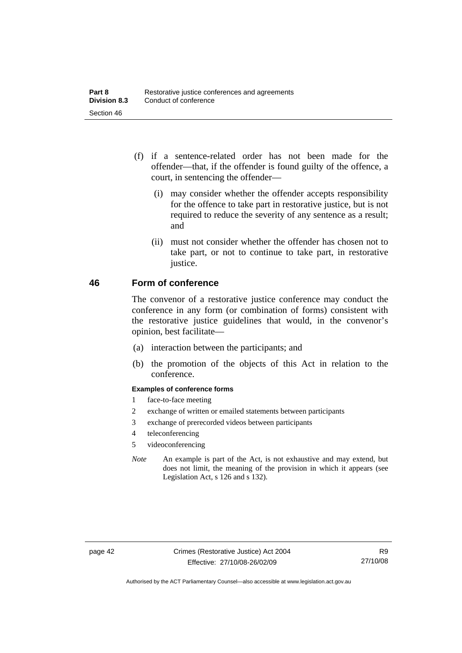- (f) if a sentence-related order has not been made for the offender—that, if the offender is found guilty of the offence, a court, in sentencing the offender—
	- (i) may consider whether the offender accepts responsibility for the offence to take part in restorative justice, but is not required to reduce the severity of any sentence as a result; and
	- (ii) must not consider whether the offender has chosen not to take part, or not to continue to take part, in restorative justice.

## **46 Form of conference**

The convenor of a restorative justice conference may conduct the conference in any form (or combination of forms) consistent with the restorative justice guidelines that would, in the convenor's opinion, best facilitate—

- (a) interaction between the participants; and
- (b) the promotion of the objects of this Act in relation to the conference.

### **Examples of conference forms**

- 1 face-to-face meeting
- 2 exchange of written or emailed statements between participants
- 3 exchange of prerecorded videos between participants
- 4 teleconferencing
- 5 videoconferencing
- *Note* An example is part of the Act, is not exhaustive and may extend, but does not limit, the meaning of the provision in which it appears (see Legislation Act, s 126 and s 132).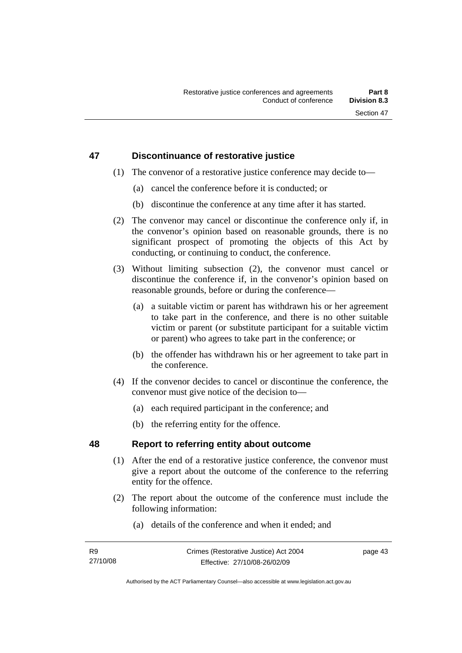## **47 Discontinuance of restorative justice**

- (1) The convenor of a restorative justice conference may decide to—
	- (a) cancel the conference before it is conducted; or
	- (b) discontinue the conference at any time after it has started.
- (2) The convenor may cancel or discontinue the conference only if, in the convenor's opinion based on reasonable grounds, there is no significant prospect of promoting the objects of this Act by conducting, or continuing to conduct, the conference.
- (3) Without limiting subsection (2), the convenor must cancel or discontinue the conference if, in the convenor's opinion based on reasonable grounds, before or during the conference—
	- (a) a suitable victim or parent has withdrawn his or her agreement to take part in the conference, and there is no other suitable victim or parent (or substitute participant for a suitable victim or parent) who agrees to take part in the conference; or
	- (b) the offender has withdrawn his or her agreement to take part in the conference.
- (4) If the convenor decides to cancel or discontinue the conference, the convenor must give notice of the decision to—
	- (a) each required participant in the conference; and
	- (b) the referring entity for the offence.

## **48 Report to referring entity about outcome**

- (1) After the end of a restorative justice conference, the convenor must give a report about the outcome of the conference to the referring entity for the offence.
- (2) The report about the outcome of the conference must include the following information:
	- (a) details of the conference and when it ended; and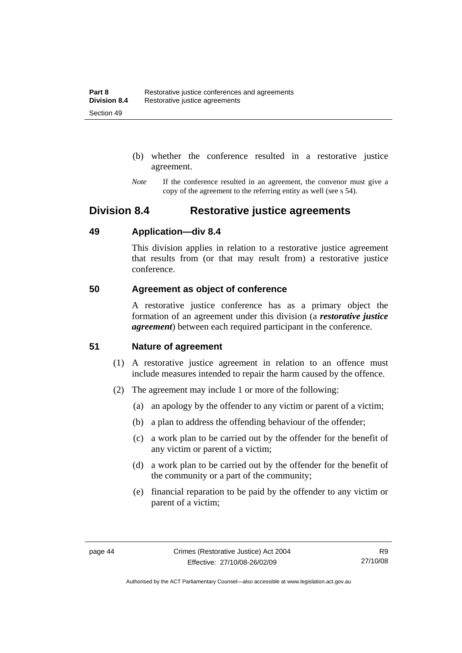- (b) whether the conference resulted in a restorative justice agreement.
- *Note* If the conference resulted in an agreement, the convenor must give a copy of the agreement to the referring entity as well (see s 54).

## **Division 8.4 Restorative justice agreements**

## **49 Application—div 8.4**

This division applies in relation to a restorative justice agreement that results from (or that may result from) a restorative justice conference.

## **50 Agreement as object of conference**

A restorative justice conference has as a primary object the formation of an agreement under this division (a *restorative justice agreement*) between each required participant in the conference.

## **51 Nature of agreement**

- (1) A restorative justice agreement in relation to an offence must include measures intended to repair the harm caused by the offence.
- (2) The agreement may include 1 or more of the following:
	- (a) an apology by the offender to any victim or parent of a victim;
	- (b) a plan to address the offending behaviour of the offender;
	- (c) a work plan to be carried out by the offender for the benefit of any victim or parent of a victim;
	- (d) a work plan to be carried out by the offender for the benefit of the community or a part of the community;
	- (e) financial reparation to be paid by the offender to any victim or parent of a victim;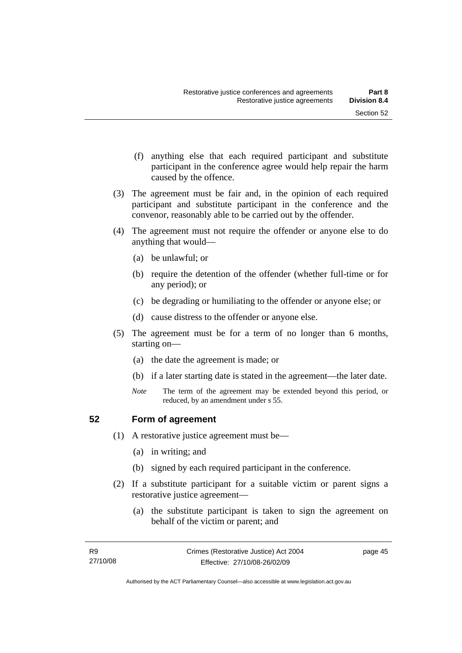- (f) anything else that each required participant and substitute participant in the conference agree would help repair the harm caused by the offence.
- (3) The agreement must be fair and, in the opinion of each required participant and substitute participant in the conference and the convenor, reasonably able to be carried out by the offender.
- (4) The agreement must not require the offender or anyone else to do anything that would—
	- (a) be unlawful; or
	- (b) require the detention of the offender (whether full-time or for any period); or
	- (c) be degrading or humiliating to the offender or anyone else; or
	- (d) cause distress to the offender or anyone else.
- (5) The agreement must be for a term of no longer than 6 months, starting on—
	- (a) the date the agreement is made; or
	- (b) if a later starting date is stated in the agreement—the later date.
	- *Note* The term of the agreement may be extended beyond this period, or reduced, by an amendment under s 55.

## **52 Form of agreement**

- (1) A restorative justice agreement must be—
	- (a) in writing; and
	- (b) signed by each required participant in the conference.
- (2) If a substitute participant for a suitable victim or parent signs a restorative justice agreement—
	- (a) the substitute participant is taken to sign the agreement on behalf of the victim or parent; and

page 45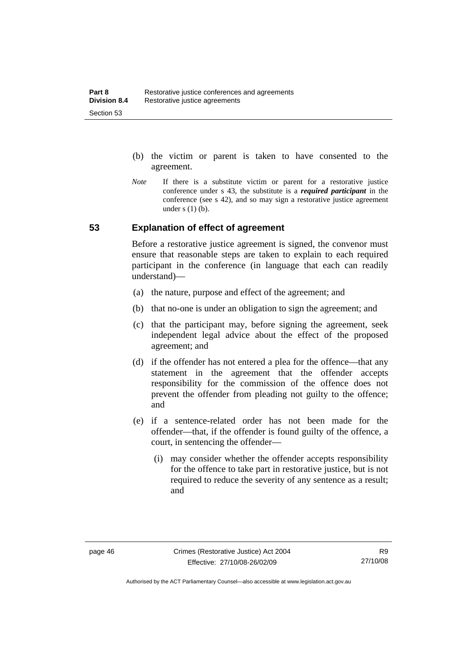- (b) the victim or parent is taken to have consented to the agreement.
- *Note* If there is a substitute victim or parent for a restorative justice conference under s 43, the substitute is a *required participant* in the conference (see s 42), and so may sign a restorative justice agreement under  $s(1)(b)$ .

## **53 Explanation of effect of agreement**

Before a restorative justice agreement is signed, the convenor must ensure that reasonable steps are taken to explain to each required participant in the conference (in language that each can readily understand)—

- (a) the nature, purpose and effect of the agreement; and
- (b) that no-one is under an obligation to sign the agreement; and
- (c) that the participant may, before signing the agreement, seek independent legal advice about the effect of the proposed agreement; and
- (d) if the offender has not entered a plea for the offence—that any statement in the agreement that the offender accepts responsibility for the commission of the offence does not prevent the offender from pleading not guilty to the offence; and
- (e) if a sentence-related order has not been made for the offender—that, if the offender is found guilty of the offence, a court, in sentencing the offender—
	- (i) may consider whether the offender accepts responsibility for the offence to take part in restorative justice, but is not required to reduce the severity of any sentence as a result: and

Authorised by the ACT Parliamentary Counsel—also accessible at www.legislation.act.gov.au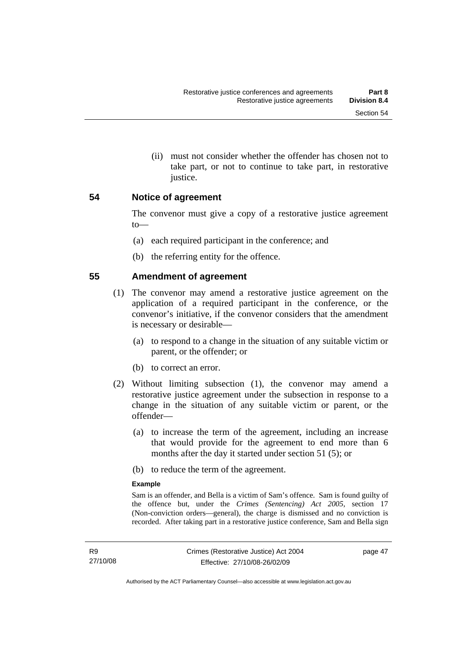(ii) must not consider whether the offender has chosen not to take part, or not to continue to take part, in restorative justice.

## **54 Notice of agreement**

The convenor must give a copy of a restorative justice agreement to—

- (a) each required participant in the conference; and
- (b) the referring entity for the offence.

## **55 Amendment of agreement**

- (1) The convenor may amend a restorative justice agreement on the application of a required participant in the conference, or the convenor's initiative, if the convenor considers that the amendment is necessary or desirable—
	- (a) to respond to a change in the situation of any suitable victim or parent, or the offender; or
	- (b) to correct an error.
- (2) Without limiting subsection (1), the convenor may amend a restorative justice agreement under the subsection in response to a change in the situation of any suitable victim or parent, or the offender—
	- (a) to increase the term of the agreement, including an increase that would provide for the agreement to end more than 6 months after the day it started under section 51 (5); or
	- (b) to reduce the term of the agreement.

#### **Example**

Sam is an offender, and Bella is a victim of Sam's offence. Sam is found guilty of the offence but, under the *Crimes (Sentencing) Act 2005*, section 17 (Non-conviction orders—general), the charge is dismissed and no conviction is recorded. After taking part in a restorative justice conference, Sam and Bella sign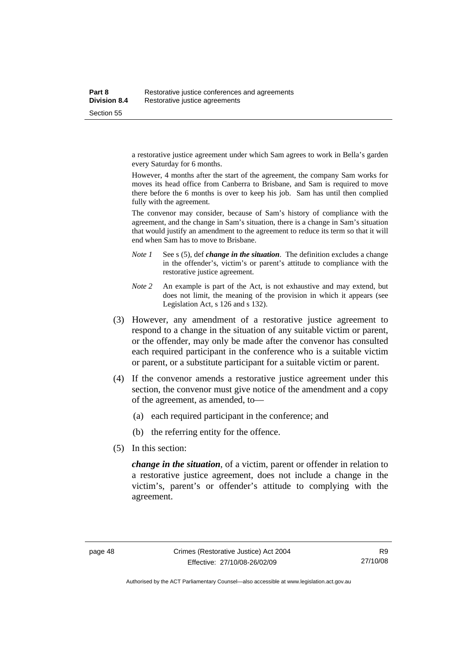a restorative justice agreement under which Sam agrees to work in Bella's garden every Saturday for 6 months.

However, 4 months after the start of the agreement, the company Sam works for moves its head office from Canberra to Brisbane, and Sam is required to move there before the 6 months is over to keep his job. Sam has until then complied fully with the agreement.

The convenor may consider, because of Sam's history of compliance with the agreement, and the change in Sam's situation, there is a change in Sam's situation that would justify an amendment to the agreement to reduce its term so that it will end when Sam has to move to Brisbane.

- *Note 1* See s (5), def *change in the situation*. The definition excludes a change in the offender's, victim's or parent's attitude to compliance with the restorative justice agreement.
- *Note 2* An example is part of the Act, is not exhaustive and may extend, but does not limit, the meaning of the provision in which it appears (see Legislation Act, s 126 and s 132).
- (3) However, any amendment of a restorative justice agreement to respond to a change in the situation of any suitable victim or parent, or the offender, may only be made after the convenor has consulted each required participant in the conference who is a suitable victim or parent, or a substitute participant for a suitable victim or parent.
- (4) If the convenor amends a restorative justice agreement under this section, the convenor must give notice of the amendment and a copy of the agreement, as amended, to—
	- (a) each required participant in the conference; and
	- (b) the referring entity for the offence.
- (5) In this section:

*change in the situation*, of a victim, parent or offender in relation to a restorative justice agreement, does not include a change in the victim's, parent's or offender's attitude to complying with the agreement.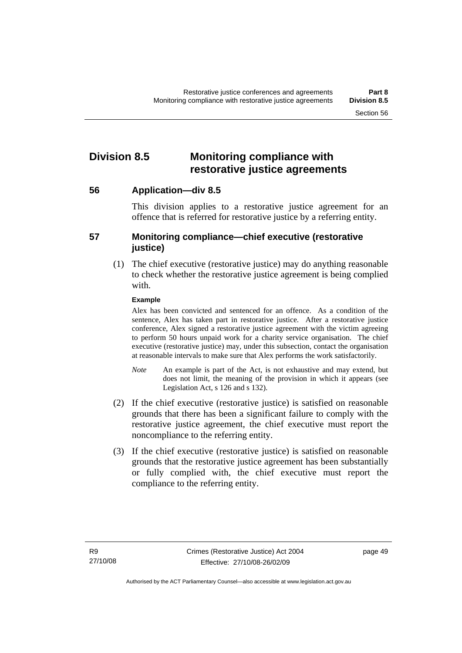## **Division 8.5 Monitoring compliance with restorative justice agreements**

**56 Application—div 8.5** 

This division applies to a restorative justice agreement for an offence that is referred for restorative justice by a referring entity.

## **57 Monitoring compliance—chief executive (restorative justice)**

 (1) The chief executive (restorative justice) may do anything reasonable to check whether the restorative justice agreement is being complied with.

### **Example**

Alex has been convicted and sentenced for an offence. As a condition of the sentence, Alex has taken part in restorative justice. After a restorative justice conference, Alex signed a restorative justice agreement with the victim agreeing to perform 50 hours unpaid work for a charity service organisation. The chief executive (restorative justice) may, under this subsection, contact the organisation at reasonable intervals to make sure that Alex performs the work satisfactorily.

- *Note* An example is part of the Act, is not exhaustive and may extend, but does not limit, the meaning of the provision in which it appears (see Legislation Act, s 126 and s 132).
- (2) If the chief executive (restorative justice) is satisfied on reasonable grounds that there has been a significant failure to comply with the restorative justice agreement, the chief executive must report the noncompliance to the referring entity.
- (3) If the chief executive (restorative justice) is satisfied on reasonable grounds that the restorative justice agreement has been substantially or fully complied with, the chief executive must report the compliance to the referring entity.

page 49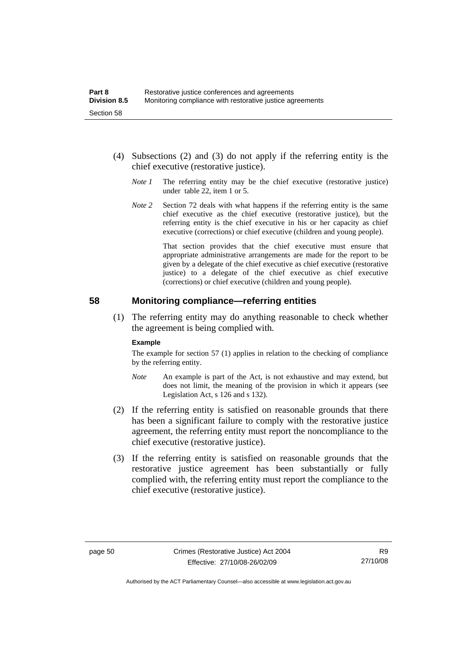- (4) Subsections (2) and (3) do not apply if the referring entity is the chief executive (restorative justice).
	- *Note 1* The referring entity may be the chief executive (restorative justice) under table 22, item 1 or 5.
	- *Note* 2 Section 72 deals with what happens if the referring entity is the same chief executive as the chief executive (restorative justice), but the referring entity is the chief executive in his or her capacity as chief executive (corrections) or chief executive (children and young people).

 That section provides that the chief executive must ensure that appropriate administrative arrangements are made for the report to be given by a delegate of the chief executive as chief executive (restorative justice) to a delegate of the chief executive as chief executive (corrections) or chief executive (children and young people).

### **58 Monitoring compliance—referring entities**

 (1) The referring entity may do anything reasonable to check whether the agreement is being complied with.

#### **Example**

The example for section 57 (1) applies in relation to the checking of compliance by the referring entity.

- *Note* An example is part of the Act, is not exhaustive and may extend, but does not limit, the meaning of the provision in which it appears (see Legislation Act, s 126 and s 132).
- (2) If the referring entity is satisfied on reasonable grounds that there has been a significant failure to comply with the restorative justice agreement, the referring entity must report the noncompliance to the chief executive (restorative justice).
- (3) If the referring entity is satisfied on reasonable grounds that the restorative justice agreement has been substantially or fully complied with, the referring entity must report the compliance to the chief executive (restorative justice).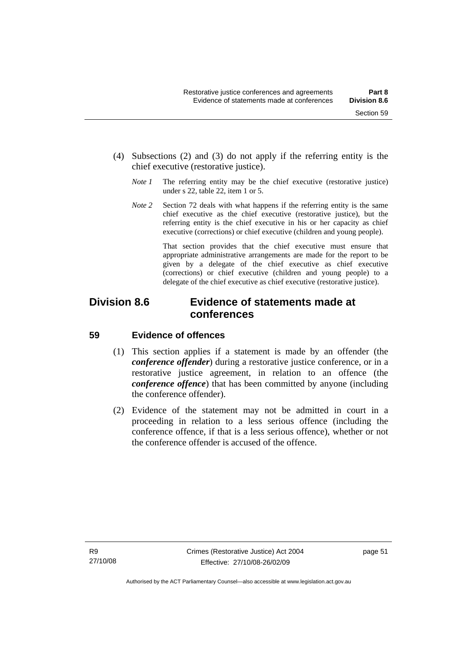- (4) Subsections (2) and (3) do not apply if the referring entity is the chief executive (restorative justice).
	- *Note 1* The referring entity may be the chief executive (restorative justice) under s 22, table 22, item 1 or 5.
	- *Note 2* Section 72 deals with what happens if the referring entity is the same chief executive as the chief executive (restorative justice), but the referring entity is the chief executive in his or her capacity as chief executive (corrections) or chief executive (children and young people).

 That section provides that the chief executive must ensure that appropriate administrative arrangements are made for the report to be given by a delegate of the chief executive as chief executive (corrections) or chief executive (children and young people) to a delegate of the chief executive as chief executive (restorative justice).

## **Division 8.6 Evidence of statements made at conferences**

## **59 Evidence of offences**

- (1) This section applies if a statement is made by an offender (the *conference offender*) during a restorative justice conference, or in a restorative justice agreement, in relation to an offence (the *conference offence*) that has been committed by anyone (including the conference offender).
- (2) Evidence of the statement may not be admitted in court in a proceeding in relation to a less serious offence (including the conference offence, if that is a less serious offence), whether or not the conference offender is accused of the offence.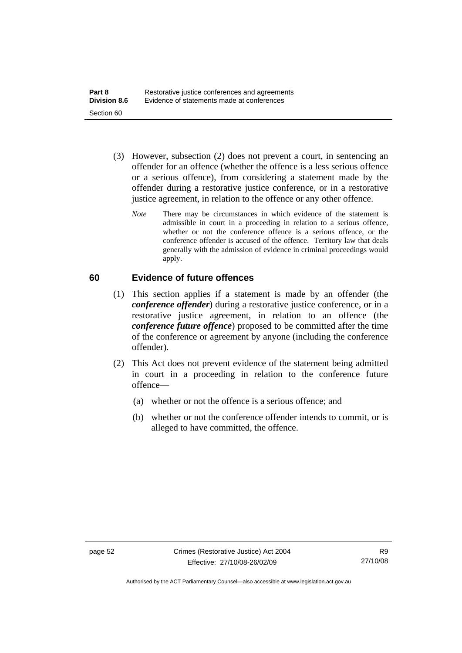- (3) However, subsection (2) does not prevent a court, in sentencing an offender for an offence (whether the offence is a less serious offence or a serious offence), from considering a statement made by the offender during a restorative justice conference, or in a restorative justice agreement, in relation to the offence or any other offence.
	- *Note* There may be circumstances in which evidence of the statement is admissible in court in a proceeding in relation to a serious offence, whether or not the conference offence is a serious offence, or the conference offender is accused of the offence. Territory law that deals generally with the admission of evidence in criminal proceedings would apply.

## **60 Evidence of future offences**

- (1) This section applies if a statement is made by an offender (the *conference offender*) during a restorative justice conference, or in a restorative justice agreement, in relation to an offence (the *conference future offence*) proposed to be committed after the time of the conference or agreement by anyone (including the conference offender).
- (2) This Act does not prevent evidence of the statement being admitted in court in a proceeding in relation to the conference future offence—
	- (a) whether or not the offence is a serious offence; and
	- (b) whether or not the conference offender intends to commit, or is alleged to have committed, the offence.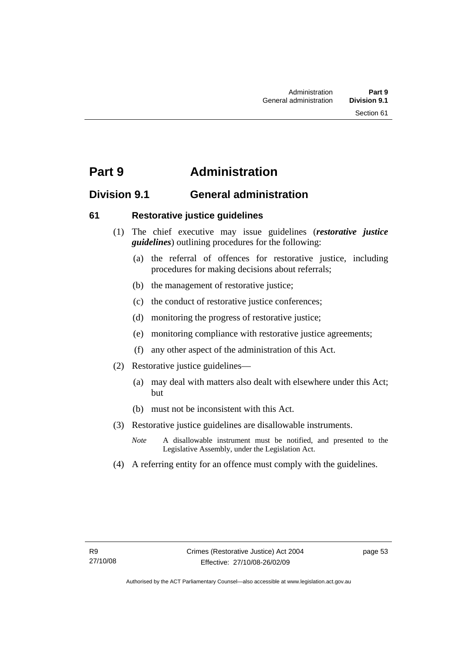## **Part 9 Administration**

## **Division 9.1 General administration**

## **61 Restorative justice guidelines**

- (1) The chief executive may issue guidelines (*restorative justice guidelines*) outlining procedures for the following:
	- (a) the referral of offences for restorative justice, including procedures for making decisions about referrals;
	- (b) the management of restorative justice;
	- (c) the conduct of restorative justice conferences;
	- (d) monitoring the progress of restorative justice;
	- (e) monitoring compliance with restorative justice agreements;
	- (f) any other aspect of the administration of this Act.
- (2) Restorative justice guidelines—
	- (a) may deal with matters also dealt with elsewhere under this Act; but
	- (b) must not be inconsistent with this Act.
- (3) Restorative justice guidelines are disallowable instruments.
	- *Note* A disallowable instrument must be notified, and presented to the Legislative Assembly, under the Legislation Act.
- (4) A referring entity for an offence must comply with the guidelines.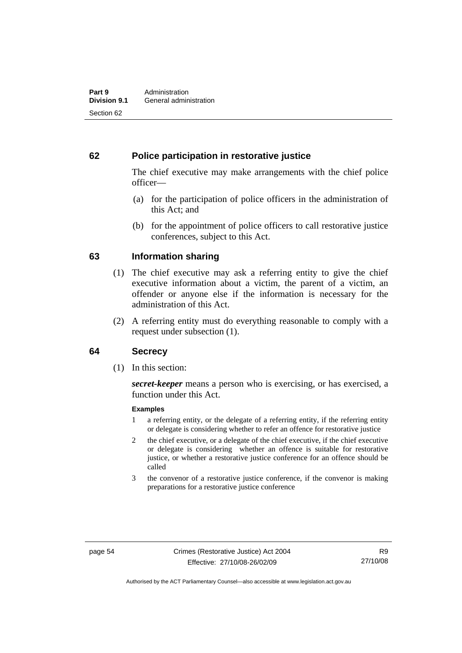## **62 Police participation in restorative justice**

The chief executive may make arrangements with the chief police officer—

- (a) for the participation of police officers in the administration of this Act; and
- (b) for the appointment of police officers to call restorative justice conferences, subject to this Act.

## **63 Information sharing**

- (1) The chief executive may ask a referring entity to give the chief executive information about a victim, the parent of a victim, an offender or anyone else if the information is necessary for the administration of this Act.
- (2) A referring entity must do everything reasonable to comply with a request under subsection (1).

## **64 Secrecy**

(1) In this section:

*secret-keeper* means a person who is exercising, or has exercised, a function under this Act.

#### **Examples**

- 1 a referring entity, or the delegate of a referring entity, if the referring entity or delegate is considering whether to refer an offence for restorative justice
- 2 the chief executive, or a delegate of the chief executive, if the chief executive or delegate is considering whether an offence is suitable for restorative justice, or whether a restorative justice conference for an offence should be called
- 3 the convenor of a restorative justice conference, if the convenor is making preparations for a restorative justice conference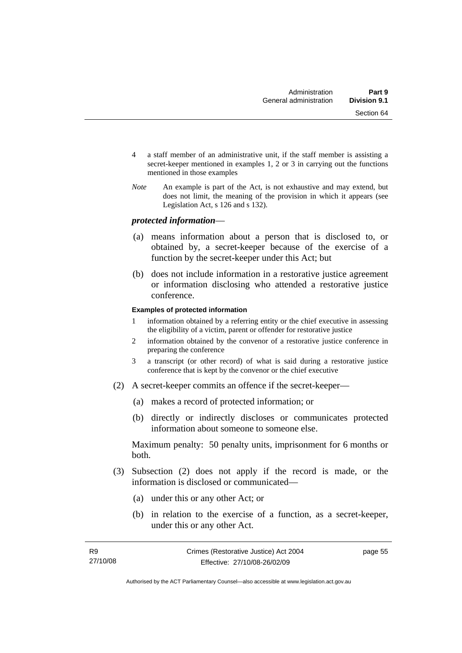- 4 a staff member of an administrative unit, if the staff member is assisting a secret-keeper mentioned in examples 1, 2 or 3 in carrying out the functions mentioned in those examples
- *Note* An example is part of the Act, is not exhaustive and may extend, but does not limit, the meaning of the provision in which it appears (see Legislation Act, s 126 and s 132).

### *protected information*—

- (a) means information about a person that is disclosed to, or obtained by, a secret-keeper because of the exercise of a function by the secret-keeper under this Act; but
- (b) does not include information in a restorative justice agreement or information disclosing who attended a restorative justice conference.

#### **Examples of protected information**

- 1 information obtained by a referring entity or the chief executive in assessing the eligibility of a victim, parent or offender for restorative justice
- 2 information obtained by the convenor of a restorative justice conference in preparing the conference
- 3 a transcript (or other record) of what is said during a restorative justice conference that is kept by the convenor or the chief executive
- (2) A secret-keeper commits an offence if the secret-keeper—
	- (a) makes a record of protected information; or
	- (b) directly or indirectly discloses or communicates protected information about someone to someone else.

Maximum penalty: 50 penalty units, imprisonment for 6 months or both.

- (3) Subsection (2) does not apply if the record is made, or the information is disclosed or communicated—
	- (a) under this or any other Act; or
	- (b) in relation to the exercise of a function, as a secret-keeper, under this or any other Act.

page 55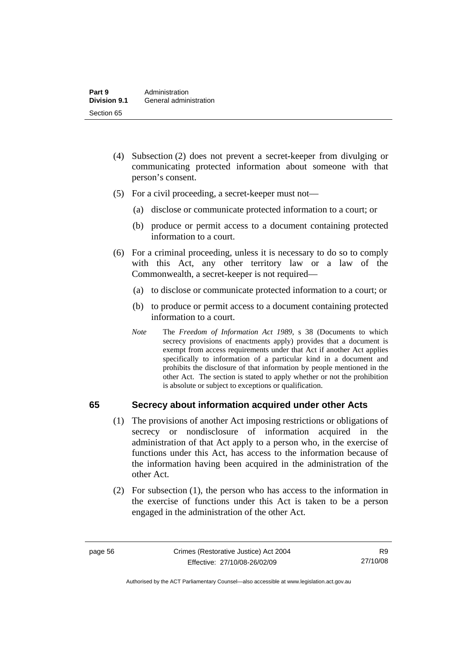- (4) Subsection (2) does not prevent a secret-keeper from divulging or communicating protected information about someone with that person's consent.
- (5) For a civil proceeding, a secret-keeper must not—
	- (a) disclose or communicate protected information to a court; or
	- (b) produce or permit access to a document containing protected information to a court.
- (6) For a criminal proceeding, unless it is necessary to do so to comply with this Act, any other territory law or a law of the Commonwealth, a secret-keeper is not required—
	- (a) to disclose or communicate protected information to a court; or
	- (b) to produce or permit access to a document containing protected information to a court.
	- *Note* The *Freedom of Information Act 1989*, s 38 (Documents to which secrecy provisions of enactments apply) provides that a document is exempt from access requirements under that Act if another Act applies specifically to information of a particular kind in a document and prohibits the disclosure of that information by people mentioned in the other Act. The section is stated to apply whether or not the prohibition is absolute or subject to exceptions or qualification.

## **65 Secrecy about information acquired under other Acts**

- (1) The provisions of another Act imposing restrictions or obligations of secrecy or nondisclosure of information acquired in the administration of that Act apply to a person who, in the exercise of functions under this Act, has access to the information because of the information having been acquired in the administration of the other Act.
- (2) For subsection (1), the person who has access to the information in the exercise of functions under this Act is taken to be a person engaged in the administration of the other Act.

R9 27/10/08

Authorised by the ACT Parliamentary Counsel—also accessible at www.legislation.act.gov.au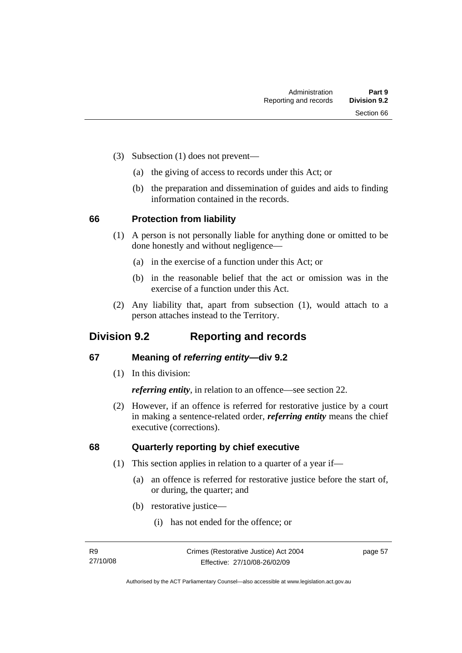- (3) Subsection (1) does not prevent—
	- (a) the giving of access to records under this Act; or
	- (b) the preparation and dissemination of guides and aids to finding information contained in the records.

## **66 Protection from liability**

- (1) A person is not personally liable for anything done or omitted to be done honestly and without negligence—
	- (a) in the exercise of a function under this Act; or
	- (b) in the reasonable belief that the act or omission was in the exercise of a function under this Act.
- (2) Any liability that, apart from subsection (1), would attach to a person attaches instead to the Territory.

## **Division 9.2 Reporting and records**

## **67 Meaning of** *referring entity—***div 9.2**

(1) In this division:

*referring entity*, in relation to an offence—see section 22.

 (2) However, if an offence is referred for restorative justice by a court in making a sentence-related order, *referring entity* means the chief executive (corrections).

## **68 Quarterly reporting by chief executive**

- (1) This section applies in relation to a quarter of a year if—
	- (a) an offence is referred for restorative justice before the start of, or during, the quarter; and
	- (b) restorative justice—
		- (i) has not ended for the offence; or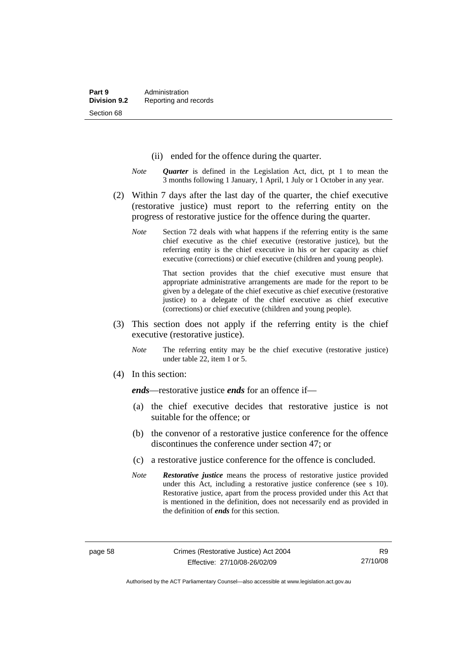- (ii) ended for the offence during the quarter.
- *Note Quarter* is defined in the Legislation Act, dict, pt 1 to mean the 3 months following 1 January, 1 April, 1 July or 1 October in any year.
- (2) Within 7 days after the last day of the quarter, the chief executive (restorative justice) must report to the referring entity on the progress of restorative justice for the offence during the quarter.
	- *Note* Section 72 deals with what happens if the referring entity is the same chief executive as the chief executive (restorative justice), but the referring entity is the chief executive in his or her capacity as chief executive (corrections) or chief executive (children and young people).

 That section provides that the chief executive must ensure that appropriate administrative arrangements are made for the report to be given by a delegate of the chief executive as chief executive (restorative justice) to a delegate of the chief executive as chief executive (corrections) or chief executive (children and young people).

- (3) This section does not apply if the referring entity is the chief executive (restorative justice).
	- *Note* The referring entity may be the chief executive (restorative justice) under table 22, item 1 or 5.
- (4) In this section:

*ends*—restorative justice *ends* for an offence if—

- (a) the chief executive decides that restorative justice is not suitable for the offence; or
- (b) the convenor of a restorative justice conference for the offence discontinues the conference under section 47; or
- (c) a restorative justice conference for the offence is concluded.
- *Note Restorative justice* means the process of restorative justice provided under this Act, including a restorative justice conference (see s 10). Restorative justice, apart from the process provided under this Act that is mentioned in the definition, does not necessarily end as provided in the definition of *ends* for this section.

Authorised by the ACT Parliamentary Counsel—also accessible at www.legislation.act.gov.au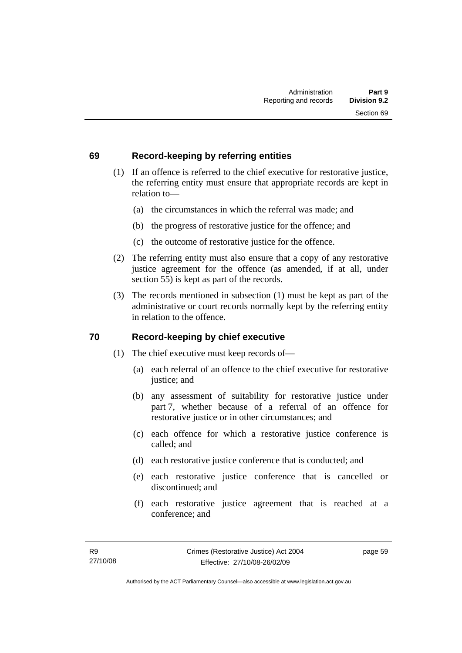## **69 Record-keeping by referring entities**

- (1) If an offence is referred to the chief executive for restorative justice, the referring entity must ensure that appropriate records are kept in relation to—
	- (a) the circumstances in which the referral was made; and
	- (b) the progress of restorative justice for the offence; and
	- (c) the outcome of restorative justice for the offence.
- (2) The referring entity must also ensure that a copy of any restorative justice agreement for the offence (as amended, if at all, under section 55) is kept as part of the records.
- (3) The records mentioned in subsection (1) must be kept as part of the administrative or court records normally kept by the referring entity in relation to the offence.

## **70 Record-keeping by chief executive**

- (1) The chief executive must keep records of—
	- (a) each referral of an offence to the chief executive for restorative justice; and
	- (b) any assessment of suitability for restorative justice under part 7, whether because of a referral of an offence for restorative justice or in other circumstances; and
	- (c) each offence for which a restorative justice conference is called; and
	- (d) each restorative justice conference that is conducted; and
	- (e) each restorative justice conference that is cancelled or discontinued; and
	- (f) each restorative justice agreement that is reached at a conference; and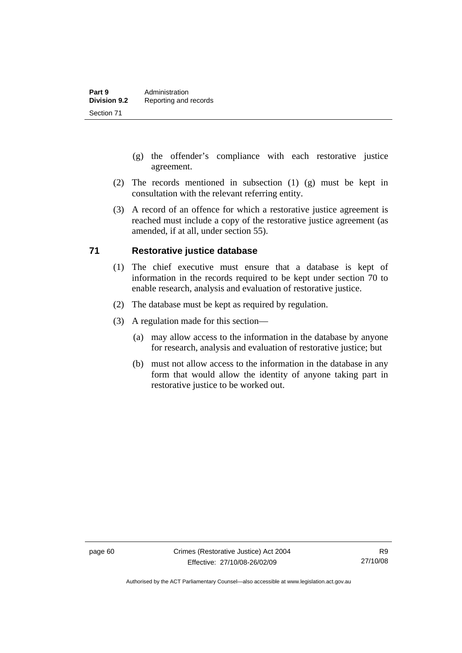- (g) the offender's compliance with each restorative justice agreement.
- (2) The records mentioned in subsection (1) (g) must be kept in consultation with the relevant referring entity.
- (3) A record of an offence for which a restorative justice agreement is reached must include a copy of the restorative justice agreement (as amended, if at all, under section 55).

## **71 Restorative justice database**

- (1) The chief executive must ensure that a database is kept of information in the records required to be kept under section 70 to enable research, analysis and evaluation of restorative justice.
- (2) The database must be kept as required by regulation.
- (3) A regulation made for this section—
	- (a) may allow access to the information in the database by anyone for research, analysis and evaluation of restorative justice; but
	- (b) must not allow access to the information in the database in any form that would allow the identity of anyone taking part in restorative justice to be worked out.

Authorised by the ACT Parliamentary Counsel—also accessible at www.legislation.act.gov.au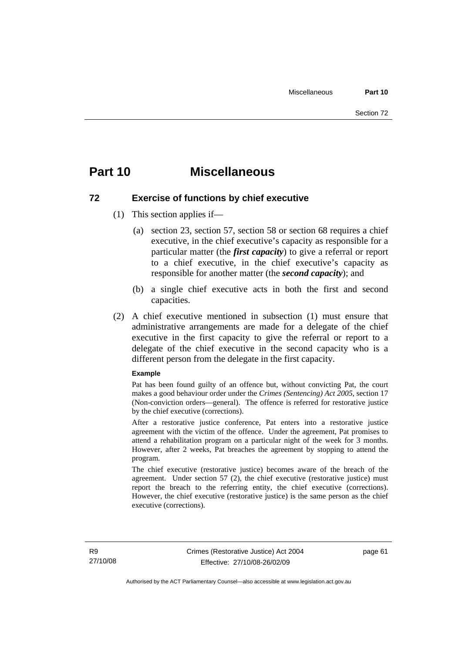## **Part 10 Miscellaneous**

## **72 Exercise of functions by chief executive**

- (1) This section applies if—
	- (a) section 23, section 57, section 58 or section 68 requires a chief executive, in the chief executive's capacity as responsible for a particular matter (the *first capacity*) to give a referral or report to a chief executive, in the chief executive's capacity as responsible for another matter (the *second capacity*); and
	- (b) a single chief executive acts in both the first and second capacities.
- (2) A chief executive mentioned in subsection (1) must ensure that administrative arrangements are made for a delegate of the chief executive in the first capacity to give the referral or report to a delegate of the chief executive in the second capacity who is a different person from the delegate in the first capacity.

#### **Example**

Pat has been found guilty of an offence but, without convicting Pat, the court makes a good behaviour order under the *Crimes (Sentencing) Act 2005*, section 17 (Non-conviction orders—general). The offence is referred for restorative justice by the chief executive (corrections).

After a restorative justice conference, Pat enters into a restorative justice agreement with the victim of the offence. Under the agreement, Pat promises to attend a rehabilitation program on a particular night of the week for 3 months. However, after 2 weeks, Pat breaches the agreement by stopping to attend the program.

The chief executive (restorative justice) becomes aware of the breach of the agreement. Under section 57 (2), the chief executive (restorative justice) must report the breach to the referring entity, the chief executive (corrections). However, the chief executive (restorative justice) is the same person as the chief executive (corrections).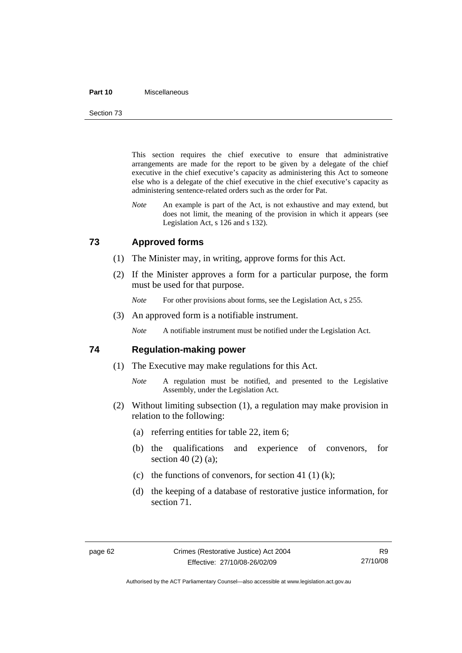#### **Part 10** Miscellaneous

Section 73

This section requires the chief executive to ensure that administrative arrangements are made for the report to be given by a delegate of the chief executive in the chief executive's capacity as administering this Act to someone else who is a delegate of the chief executive in the chief executive's capacity as administering sentence-related orders such as the order for Pat.

*Note* An example is part of the Act, is not exhaustive and may extend, but does not limit, the meaning of the provision in which it appears (see Legislation Act, s 126 and s 132).

## **73 Approved forms**

- (1) The Minister may, in writing, approve forms for this Act.
- (2) If the Minister approves a form for a particular purpose, the form must be used for that purpose.
	- *Note* For other provisions about forms, see the Legislation Act, s 255.
- (3) An approved form is a notifiable instrument.

*Note* A notifiable instrument must be notified under the Legislation Act.

### **74 Regulation-making power**

- (1) The Executive may make regulations for this Act.
	- *Note* A regulation must be notified, and presented to the Legislative Assembly, under the Legislation Act.
- (2) Without limiting subsection (1), a regulation may make provision in relation to the following:
	- (a) referring entities for table 22, item 6;
	- (b) the qualifications and experience of convenors, for section 40 (2) (a);
	- (c) the functions of convenors, for section 41 (1) (k);
	- (d) the keeping of a database of restorative justice information, for section 71.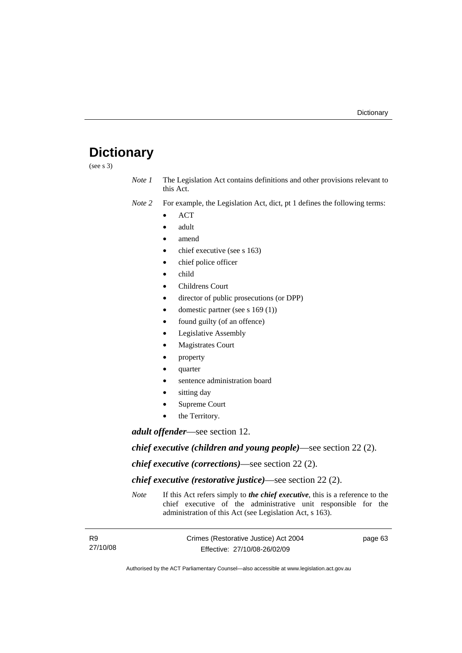# **Dictionary**

(see s 3)

*Note 1* The Legislation Act contains definitions and other provisions relevant to this Act.

*Note 2* For example, the Legislation Act, dict, pt 1 defines the following terms:

- ACT
- adult
- amend
- chief executive (see s 163)
- chief police officer
- child
- Childrens Court
- director of public prosecutions (or DPP)
- domestic partner (see s 169 (1))
- found guilty (of an offence)
- Legislative Assembly
- **Magistrates Court**
- property
- quarter
- sentence administration board
- sitting day
- Supreme Court
- the Territory.

*adult offender*—see section 12.

*chief executive (children and young people)*—see section 22 (2).

*chief executive (corrections)*—see section 22 (2).

*chief executive (restorative justice)*—see section 22 (2).

*Note* If this Act refers simply to *the chief executive*, this is a reference to the chief executive of the administrative unit responsible for the administration of this Act (see Legislation Act, s 163).

| <b>R9</b> | Crimes (Restorative Justice) Act 2004 | page 63 |
|-----------|---------------------------------------|---------|
| 27/10/08  | Effective: 27/10/08-26/02/09          |         |

Authorised by the ACT Parliamentary Counsel—also accessible at www.legislation.act.gov.au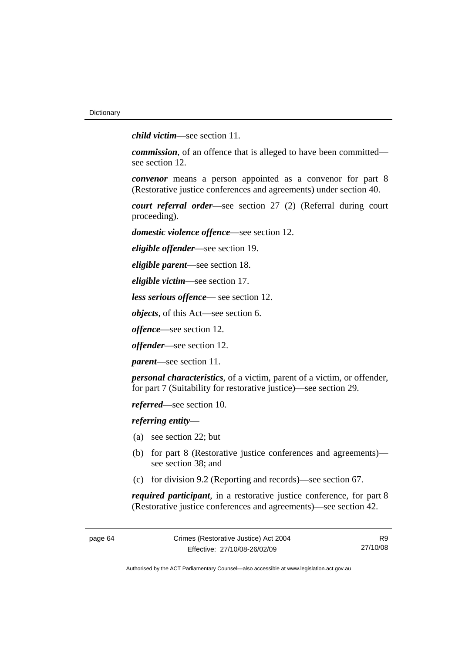*child victim*—see section 11.

*commission*, of an offence that is alleged to have been committed see section 12.

*convenor* means a person appointed as a convenor for part 8 (Restorative justice conferences and agreements) under section 40.

*court referral order*—see section 27 (2) (Referral during court proceeding).

*domestic violence offence*—see section 12.

*eligible offender*—see section 19.

*eligible parent*—see section 18.

*eligible victim*—see section 17.

*less serious offence*— see section 12.

*objects*, of this Act—see section 6.

*offence*—see section 12.

*offender*—see section 12.

*parent*—see section 11.

*personal characteristics*, of a victim, parent of a victim, or offender, for part 7 (Suitability for restorative justice)—see section 29.

*referred*—see section 10.

*referring entity*—

- (a) see section 22; but
- (b) for part 8 (Restorative justice conferences and agreements) see section 38; and
- (c) for division 9.2 (Reporting and records)—see section 67.

*required participant*, in a restorative justice conference, for part 8 (Restorative justice conferences and agreements)—see section 42.

R9 27/10/08

Authorised by the ACT Parliamentary Counsel—also accessible at www.legislation.act.gov.au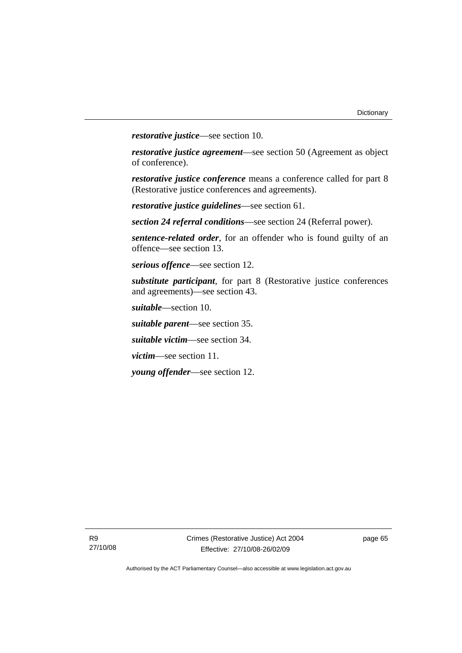*restorative justice*—see section 10.

*restorative justice agreement*—see section 50 (Agreement as object of conference).

*restorative justice conference* means a conference called for part 8 (Restorative justice conferences and agreements).

*restorative justice guidelines*—see section 61.

*section 24 referral conditions*—see section 24 (Referral power).

*sentence-related order*, for an offender who is found guilty of an offence—see section 13.

*serious offence*—see section 12.

*substitute participant*, for part 8 (Restorative justice conferences and agreements)—see section 43.

*suitable*—section 10.

*suitable parent*—see section 35.

*suitable victim*—see section 34.

*victim*—see section 11.

*young offender*—see section 12.

page 65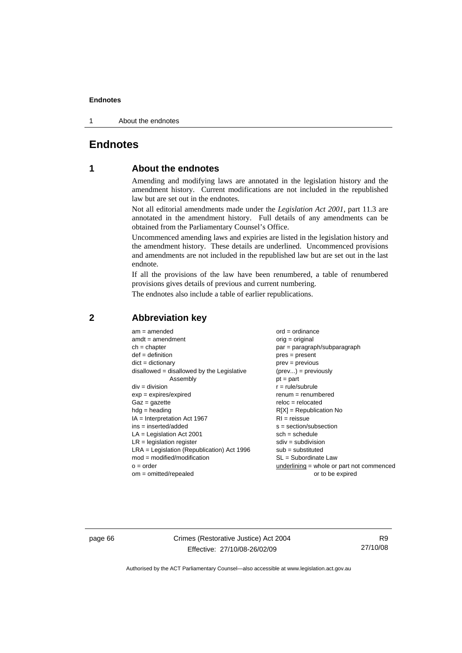1 About the endnotes

# **Endnotes**

# **1 About the endnotes**

Amending and modifying laws are annotated in the legislation history and the amendment history. Current modifications are not included in the republished law but are set out in the endnotes.

Not all editorial amendments made under the *Legislation Act 2001*, part 11.3 are annotated in the amendment history. Full details of any amendments can be obtained from the Parliamentary Counsel's Office.

Uncommenced amending laws and expiries are listed in the legislation history and the amendment history. These details are underlined. Uncommenced provisions and amendments are not included in the republished law but are set out in the last endnote.

If all the provisions of the law have been renumbered, a table of renumbered provisions gives details of previous and current numbering.

The endnotes also include a table of earlier republications.

| $am = amended$                               | $ord = ordinance$                           |
|----------------------------------------------|---------------------------------------------|
| $amdt = amendment$                           | $orig = original$                           |
| $ch = chapter$                               | $par = paragraph/subparagraph$              |
| $def = definition$                           | $pres = present$                            |
| $dict = dictionary$                          | $prev = previous$                           |
| disallowed = disallowed by the Legislative   | $(\text{prev}) = \text{previously}$         |
| Assembly                                     | $pt = part$                                 |
| $div = division$                             | $r = rule/subrule$                          |
| $exp = expires/expired$                      | $remum = renumbered$                        |
| $Gaz = gazette$                              | $reloc = relocated$                         |
| $hdg =$ heading                              | $R[X]$ = Republication No                   |
| $IA = Interpretation Act 1967$               | $RI = reissue$                              |
| $ins = inserted/added$                       | $s = section/subsection$                    |
| $LA =$ Legislation Act 2001                  | $sch = schedule$                            |
| $LR =$ legislation register                  | $sdiv = subdivision$                        |
| $LRA =$ Legislation (Republication) Act 1996 | $sub =$ substituted                         |
| $mod = modified/modification$                | SL = Subordinate Law                        |
| $o = order$                                  | underlining $=$ whole or part not commenced |
| $om = omitted/repealed$                      | or to be expired                            |
|                                              |                                             |

# **2 Abbreviation key**

page 66 Crimes (Restorative Justice) Act 2004 Effective: 27/10/08-26/02/09

R9 27/10/08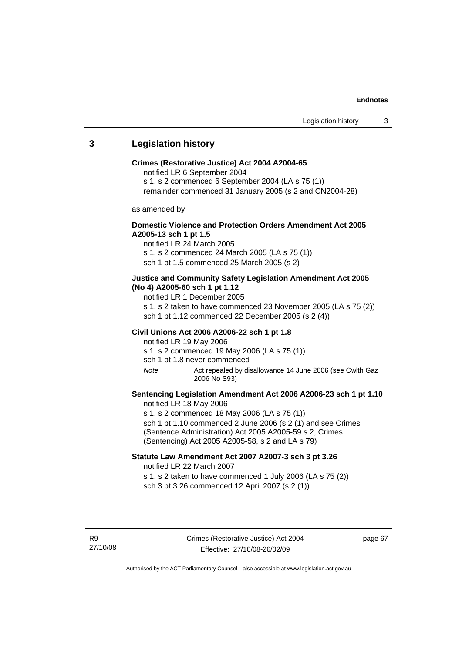## **3 Legislation history**

#### **Crimes (Restorative Justice) Act 2004 A2004-65**

notified LR 6 September 2004

s 1, s 2 commenced 6 September 2004 (LA s 75 (1))

remainder commenced 31 January 2005 (s 2 and CN2004-28)

as amended by

### **Domestic Violence and Protection Orders Amendment Act 2005 A2005-13 sch 1 pt 1.5**

notified LR 24 March 2005 s 1, s 2 commenced 24 March 2005 (LA s 75 (1)) sch 1 pt 1.5 commenced 25 March 2005 (s 2)

### **Justice and Community Safety Legislation Amendment Act 2005 (No 4) A2005-60 sch 1 pt 1.12**

notified LR 1 December 2005

s 1, s 2 taken to have commenced 23 November 2005 (LA s 75 (2)) sch 1 pt 1.12 commenced 22 December 2005 (s 2 (4))

#### **Civil Unions Act 2006 A2006-22 sch 1 pt 1.8**

notified LR 19 May 2006 s 1, s 2 commenced 19 May 2006 (LA s 75 (1))

sch 1 pt 1.8 never commenced

*Note* Act repealed by disallowance 14 June 2006 (see Cwlth Gaz 2006 No S93)

### **Sentencing Legislation Amendment Act 2006 A2006-23 sch 1 pt 1.10**  notified LR 18 May 2006

s 1, s 2 commenced 18 May 2006 (LA s 75 (1)) sch 1 pt 1.10 commenced 2 June 2006 (s 2 (1) and see Crimes (Sentence Administration) Act 2005 A2005-59 s 2, Crimes (Sentencing) Act 2005 A2005-58, s 2 and LA s 79)

### **Statute Law Amendment Act 2007 A2007-3 sch 3 pt 3.26**  notified LR 22 March 2007

s 1, s 2 taken to have commenced 1 July 2006 (LA s 75 (2)) sch 3 pt 3.26 commenced 12 April 2007 (s 2 (1))

R9 27/10/08 page 67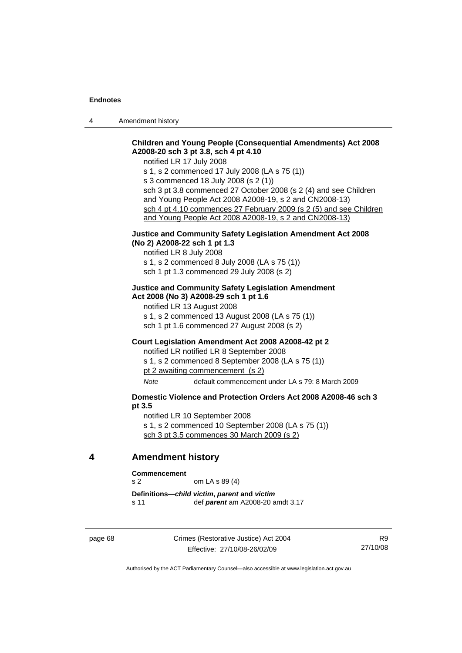4 Amendment history

## **Children and Young People (Consequential Amendments) Act 2008 A2008-20 sch 3 pt 3.8, sch 4 pt 4.10**

notified LR 17 July 2008

s 1, s 2 commenced 17 July 2008 (LA s 75 (1)) s 3 commenced 18 July 2008 (s 2 (1)) sch 3 pt 3.8 commenced 27 October 2008 (s 2 (4) and see Children and Young People Act 2008 A2008-19, s 2 and CN2008-13) sch 4 pt 4.10 commences 27 February 2009 (s 2 (5) and see Children and Young People Act 2008 A2008-19, s 2 and CN2008-13)

### **Justice and Community Safety Legislation Amendment Act 2008 (No 2) A2008-22 sch 1 pt 1.3**

notified LR 8 July 2008

s 1, s 2 commenced 8 July 2008 (LA s 75 (1))

sch 1 pt 1.3 commenced 29 July 2008 (s 2)

#### **Justice and Community Safety Legislation Amendment Act 2008 (No 3) A2008-29 sch 1 pt 1.6**

notified LR 13 August 2008 s 1, s 2 commenced 13 August 2008 (LA s 75 (1)) sch 1 pt 1.6 commenced 27 August 2008 (s 2)

#### **Court Legislation Amendment Act 2008 A2008-42 pt 2**

notified LR notified LR 8 September 2008

s 1, s 2 commenced 8 September 2008 (LA s 75 (1))

pt 2 awaiting commencement (s 2)

*Note* default commencement under LA s 79: 8 March 2009

### **Domestic Violence and Protection Orders Act 2008 A2008-46 sch 3 pt 3.5**

notified LR 10 September 2008 s 1, s 2 commenced 10 September 2008 (LA s 75 (1)) sch 3 pt 3.5 commences 30 March 2009 (s 2)

### **4 Amendment history**

**Commencement** 

s 2 om LA s 89 (4)

**Definitions—***child victim***,** *parent* **and** *victim* s 11 def *parent* am A2008-20 amdt 3.17

page 68 Crimes (Restorative Justice) Act 2004 Effective: 27/10/08-26/02/09

R9 27/10/08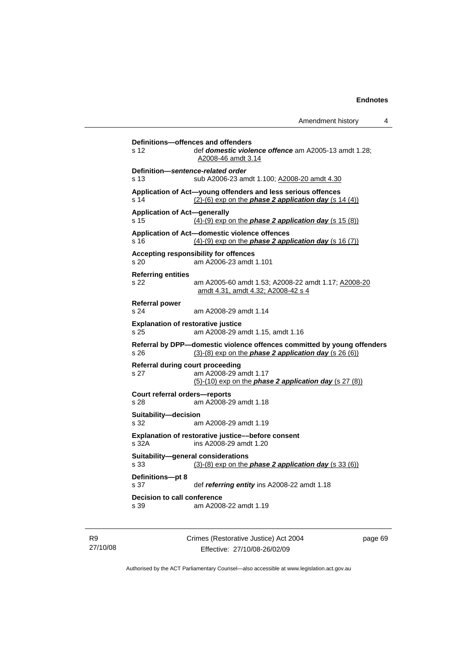**Definitions—offences and offenders**  s 12 def *domestic violence offence* am A2005-13 amdt 1.28; A2008-46 amdt 3.14 **Definition—***sentence-related order*  s 13 sub A2006-23 amdt 1.100; A2008-20 amdt 4.30 **Application of Act—young offenders and less serious offences**  s 14 (2)-(6) exp on the *phase 2 application day* (s 14 (4)) **Application of Act—generally**  s 15 (4)-(9) exp on the *phase 2 application day* (s 15 (8)) **Application of Act—domestic violence offences**  s 16 (4)-(9) exp on the *phase 2 application day* (s 16 (7)) **Accepting responsibility for offences**  s 20 am A2006-23 amdt 1.101 **Referring entities**  s 22 am A2005-60 amdt 1.53; A2008-22 amdt 1.17; A2008-20 amdt 4.31, amdt 4.32; A2008-42 s 4 **Referral power**  s 24 am A2008-29 amdt 1.14 **Explanation of restorative justice**  s 25 am A2008-29 amdt 1.15, amdt 1.16 **Referral by DPP—domestic violence offences committed by young offenders**  s 26 (3)-(8) exp on the *phase 2 application day* (s 26 (6)) **Referral during court proceeding**  s 27 am A2008-29 amdt 1.17 (5)-(10) exp on the *phase 2 application day* (s 27 (8)) **Court referral orders—reports**  s 28 am A2008-29 amdt 1.18 **Suitability—decision**  s 32 am A2008-29 amdt 1.19 **Explanation of restorative justice––before consent**  s 32A ins A2008-29 amdt 1.20 **Suitability—general considerations**  s 33 (3)-(8) exp on the *phase 2 application day* (s 33 (6)) **Definitions—pt 8**  s 37 def *referring entity* ins A2008-22 amdt 1.18 **Decision to call conference**  s 39 am A2008-22 amdt 1.19

R9 27/10/08 Crimes (Restorative Justice) Act 2004 Effective: 27/10/08-26/02/09

page 69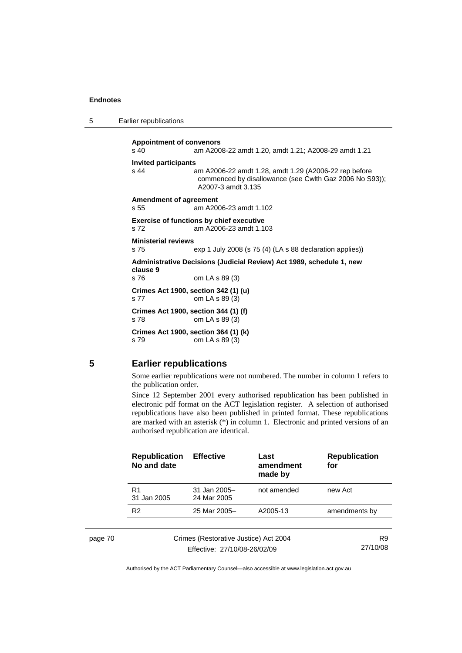| 5 | Earlier republications |  |
|---|------------------------|--|
|---|------------------------|--|

**Appointment of convenors**  s 40 am A2008-22 amdt 1.20, amdt 1.21; A2008-29 amdt 1.21 **Invited participants**  s 44 am A2006-22 amdt 1.28, amdt 1.29 (A2006-22 rep before commenced by disallowance (see Cwlth Gaz 2006 No S93)); A2007-3 amdt 3.135 **Amendment of agreement**  s 55 am A2006-23 amdt 1.102 **Exercise of functions by chief executive**  s 72 am A2006-23 amdt 1.103 **Ministerial reviews**  s 75 exp 1 July 2008 (s 75 (4) (LA s 88 declaration applies)) **Administrative Decisions (Judicial Review) Act 1989, schedule 1, new clause 9**  s 76 om LA s 89 (3) **Crimes Act 1900, section 342 (1) (u)**  s 77 om LA s 89 (3) **Crimes Act 1900, section 344 (1) (f)**  s 78 om LA s 89 (3) **Crimes Act 1900, section 364 (1) (k)**  s 79 om LA s 89 (3)

### **5 Earlier republications**

Some earlier republications were not numbered. The number in column 1 refers to the publication order.

Since 12 September 2001 every authorised republication has been published in electronic pdf format on the ACT legislation register. A selection of authorised republications have also been published in printed format. These republications are marked with an asterisk (\*) in column 1. Electronic and printed versions of an authorised republication are identical.

| <b>Republication</b><br>No and date | <b>Effective</b>                      | Last<br>amendment<br>made by | <b>Republication</b><br>for |
|-------------------------------------|---------------------------------------|------------------------------|-----------------------------|
| R <sub>1</sub><br>31 Jan 2005       | 31 Jan 2005-<br>24 Mar 2005           | not amended                  | new Act                     |
| R <sub>2</sub>                      | 25 Mar 2005-                          | A2005-13                     | amendments by               |
|                                     |                                       |                              |                             |
|                                     | Crimes (Restorative Justice) Act 2004 |                              | R9                          |
| Effective: 27/10/08-26/02/09        |                                       |                              | 27/10/08                    |

page 70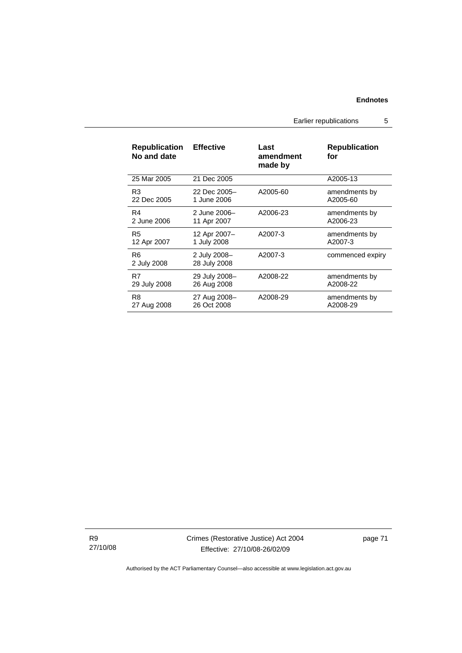Earlier republications 5

| <b>Republication</b><br>No and date | <b>Effective</b>             | Last<br>amendment<br>made by | <b>Republication</b><br>for |
|-------------------------------------|------------------------------|------------------------------|-----------------------------|
| 25 Mar 2005                         | 21 Dec 2005                  |                              | A2005-13                    |
| R3                                  | 22 Dec 2005-                 | A2005-60                     | amendments by               |
| 22 Dec 2005                         | 1 June 2006                  |                              | A2005-60                    |
| R4                                  | 2 June 2006-                 | A2006-23                     | amendments by               |
| 2 June 2006                         | 11 Apr 2007                  |                              | A2006-23                    |
| R5                                  | 12 Apr 2007-                 | A2007-3                      | amendments by               |
| 12 Apr 2007                         | 1 July 2008                  |                              | A2007-3                     |
| R6<br>2 July 2008                   | 2 July 2008-<br>28 July 2008 | A2007-3                      | commenced expiry            |
| R7                                  | 29 July 2008-                | A2008-22                     | amendments by               |
| 29 July 2008                        | 26 Aug 2008                  |                              | A2008-22                    |
| R8                                  | 27 Aug 2008-                 | A2008-29                     | amendments by               |
| 27 Aug 2008                         | 26 Oct 2008                  |                              | A2008-29                    |

R9 27/10/08 Crimes (Restorative Justice) Act 2004 Effective: 27/10/08-26/02/09

page 71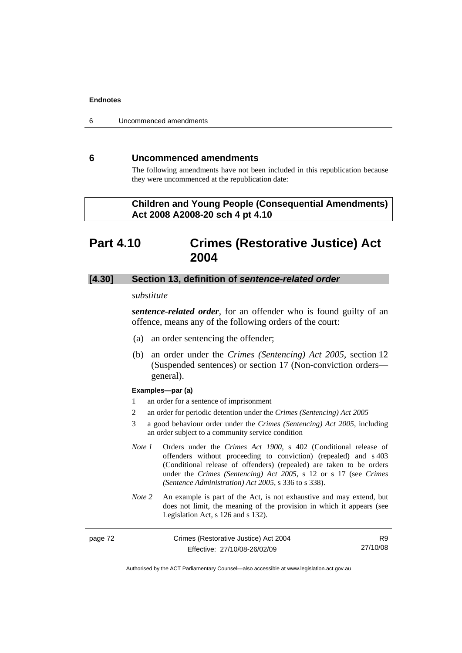6 Uncommenced amendments

# **6 Uncommenced amendments**

The following amendments have not been included in this republication because they were uncommenced at the republication date:

# **Children and Young People (Consequential Amendments) Act 2008 A2008-20 sch 4 pt 4.10**

# **Part 4.10 Crimes (Restorative Justice) Act 2004**

## **[4.30] Section 13, definition of** *sentence-related order*

### *substitute*

*sentence-related order*, for an offender who is found guilty of an offence, means any of the following orders of the court:

- (a) an order sentencing the offender;
- (b) an order under the *Crimes (Sentencing) Act 2005*, section 12 (Suspended sentences) or section 17 (Non-conviction orders general).

#### **Examples—par (a)**

- 1 an order for a sentence of imprisonment
- 2 an order for periodic detention under the *Crimes (Sentencing) Act 2005*
- 3 a good behaviour order under the *Crimes (Sentencing) Act 2005*, including an order subject to a community service condition
- *Note 1* Orders under the *Crimes Act 1900*, s 402 (Conditional release of offenders without proceeding to conviction) (repealed) and s 403 (Conditional release of offenders) (repealed) are taken to be orders under the *Crimes (Sentencing) Act 2005*, s 12 or s 17 (see *Crimes (Sentence Administration) Act 2005*, s 336 to s 338).
- *Note 2* An example is part of the Act, is not exhaustive and may extend, but does not limit, the meaning of the provision in which it appears (see Legislation Act, s 126 and s 132).

| Crimes (Restorative Justice) Act 2004<br>page 72 |                              | R9.      |
|--------------------------------------------------|------------------------------|----------|
|                                                  | Effective: 27/10/08-26/02/09 | 27/10/08 |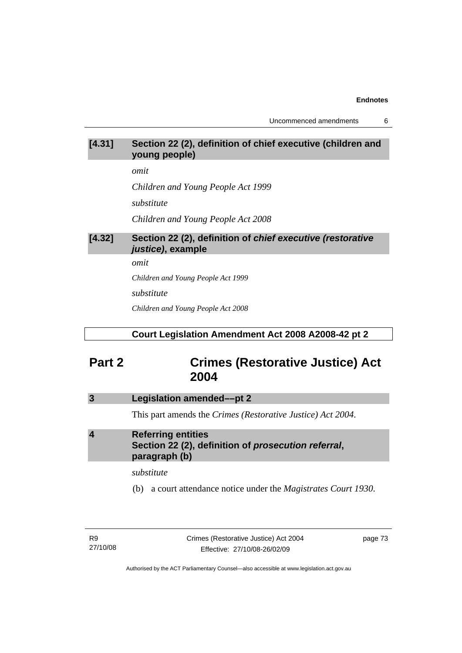Uncommenced amendments 6

# **[4.31] Section 22 (2), definition of chief executive (children and young people)**

*omit* 

*Children and Young People Act 1999* 

*substitute* 

*Children and Young People Act 2008*

# **[4.32] Section 22 (2), definition of** *chief executive (restorative justice)***, example**

*omit* 

*Children and Young People Act 1999* 

*substitute* 

*Children and Young People Act 2008*

# **Court Legislation Amendment Act 2008 A2008-42 pt 2**

# **Part 2 Crimes (Restorative Justice) Act 2004**

# **3 Legislation amended––pt 2**

This part amends the *Crimes (Restorative Justice) Act 2004*.

# **4 Referring entities Section 22 (2), definition of** *prosecution referral***, paragraph (b)**

## *substitute*

(b) a court attendance notice under the *Magistrates Court 1930*.